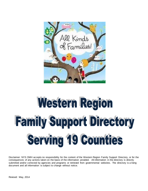

# Western Region **Family Support Directory Serving 19 Counties**

Disclaimer: NYS OMH accepts no responsibility for the content of the Western Region Family Support Directory, or for the consequences of any actions taken on the basis of the information provided. All information in the directory is directly submitted and/or corrected by agencies and programs or retrieved from governmental websites. The directory is a living document and all information is subject to change without notice.

Revised: May, 2014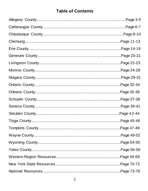### **Table of Contents**

| Page 14-19  |
|-------------|
|             |
| Page 22-23. |
|             |
|             |
|             |
|             |
|             |
| Page 39-41. |
| Page 42-44. |
| Page 45-46  |
|             |
|             |
|             |
|             |
|             |
|             |
|             |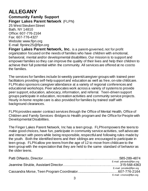# **ALLEGANY**

**Community Family Support Finger Lakes Parent Network** (FLPN) 25 West Steuben Street

Bath, NY 14810 Office: 607-776-2164 Fax: 607-776-4327 Website[: www.flpn.org](http://www.flpn.org/) E-mail: [flpninc25@flpn.org](mailto:flpninc25@flpn.org)

**Finger Lakes Parent Network, Inc.** is a parent-governed, not for profit organization focused on the needs of families who have children with emotional, behavioral, mental and/or developmental disabilities. Our mission is to support and empower families so they can improve the quality of their lives and help their children to achieve their full potential within the community. All services are offered at no cost to the families.

The services for families include bi-weekly parent/caregiver groups with trained peer facilitators providing self-help support and education as well as free, on-site childcare. FLPN also sponsors caregiver attendance at a variety of regional conferences and educational workshops. Peer advocates work across a variety of systems to provide peer support, education, advocacy, information, and referral. Teen-driven support groups participate in education, recreation activities and community service projects. Hourly in-home respite care is also provided for families by trained staff with background clearances.

FLPN provides wavier contract services through the Office of Mental Health, Office of Children and Family Services -Bridges to Health program and the Office for People with Developmental Disabilities.

The Finger Lakes Parent Network, Inc has a teen group. FLPN empowers the teens to make good choices, have fun, participate in community service activities, self advocate and interact with peers while being responsible, respectful and following rules made by the youth. Both the identified teens and their siblings are encouraged to participate in teen group. FLPN allow pre-teens from the age of 12 to move from childcare to the teen group with the expectation that they are held to the same standard of behavior as the older teens.

| E-mail: pdinardo@flpn.org |
|---------------------------|
|                           |
| E-mail: jstruble@flpn.org |
|                           |
| E-mail: cmorse@flpn.org   |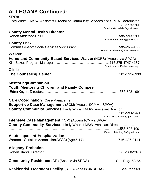| <b>ALLEGANY Continued:</b>                                                                                                                                                              |                                     |
|-----------------------------------------------------------------------------------------------------------------------------------------------------------------------------------------|-------------------------------------|
| <b>SPOA</b><br>Lindy White, LMSW, Assistant Director of Community Services and SPOA Coordinator                                                                                         |                                     |
| <b>County Mental Health Director</b>                                                                                                                                                    | E-mail: white.lindy74@gmail.com     |
|                                                                                                                                                                                         | E-mail: robanders6@gmail.com        |
| <b>County DSS</b>                                                                                                                                                                       |                                     |
| Waiver                                                                                                                                                                                  | E-mail: Vicki.Grant@dfa.state.ny.us |
| Home and Community Based Services Waiver (HCBS) (Access via SPOA)                                                                                                                       |                                     |
| <b>Clinic</b>                                                                                                                                                                           | E-mail: kbaker@rehabcenter.org      |
|                                                                                                                                                                                         |                                     |
| <b>Mentoring/Companion</b><br><b>Youth Mentoring Children and Family Compeer</b>                                                                                                        |                                     |
| <b>Care Coordination</b> (Case Management)<br><b>Supportive Case Management (SCM) (Access SCM via SPOA)</b><br><b>County Community Services: Lindy White, LMSW, Assistant Director,</b> |                                     |
|                                                                                                                                                                                         | E-mail: white.lindy74@gmail.com     |
| <b>Intensive Case Management (ICM) (Access ICM via SPOA)</b>                                                                                                                            |                                     |
| <b>County Community Services: Lindy White, LMSW, Assistant Director</b>                                                                                                                 |                                     |
| <b>Acute Inpatient Hospitalization</b>                                                                                                                                                  | E-mail: white.lindy74@gmail.com     |
|                                                                                                                                                                                         |                                     |
| <b>Allegany Probation</b>                                                                                                                                                               |                                     |
| <b>Community Residence</b> (CR) (Access via SPOA)See Page 63-64                                                                                                                         |                                     |
| Residential Treatment Facility (RTF) (Access via SPOA)See Page 63                                                                                                                       |                                     |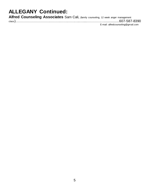### **ALLEGANY Continued:**

| Alfred Counseling Associates Sam Cali, (family counseling, 12 week anger management |                                    |
|-------------------------------------------------------------------------------------|------------------------------------|
|                                                                                     |                                    |
|                                                                                     | E-mail: alfredcounseling@gmail.com |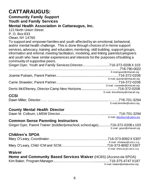# **CATTARAUGUS:**

#### **Community Family Support Youth and Family Services Mental Health Association in Cattaraugus, Inc.**

121 North Union Street P. O. Box 833 Olean, NY 14760

To support and empower families and youth affected by an emotional, behavioral, and/or mental health challenge. This is done through choices of in-home support services, advocacy, training and education, mentoring, skill building, support groups, information and referral, meeting facilitation, modeling, and linking parents/caregivers and youth who have similar experiences and interests for the purposes of building a community of supportive peers.

| Ginger Oyer, Youth and Family Services Director716-372-0208 X 103 |                                |
|-------------------------------------------------------------------|--------------------------------|
|                                                                   |                                |
|                                                                   | E-mail:goyer@mhacatt.org       |
|                                                                   |                                |
|                                                                   | E-mail: jputnam@mhacatt.org    |
|                                                                   |                                |
|                                                                   | E-mail: cstrawder@mhacatt.org  |
|                                                                   |                                |
|                                                                   | E-mail: dmcelheney@mhacatt.org |
| <b>CCSI</b>                                                       |                                |

#### Dawn Miller, Director…… ...…………...............................................……….716-701-3294 [E-mail:dmmiller@cattco.org](mailto:E-mail:dmmiller@cattco.org)

#### **County Mental Health Director**

|  | E-mail: dmcolburn@cattco.org |
|--|------------------------------|

#### **Common Sense Parenting Instructors**

Ginger Oyer, Parent Trainer (toddler/preschool, school age).............716-372-0208 x 103 E-mail: [goyer@mhacatt.org](mailto:goyer@mhacatt.org)

#### **Children's SPOA**

| E-mail: mholeary@cattco.org    |
|--------------------------------|
|                                |
| E-mail: mhole ary @ cattco.org |

#### **Waiver**

| Home and Community Based Services Waiver (HCBS) (Access via SPOA) |                                |
|-------------------------------------------------------------------|--------------------------------|
|                                                                   |                                |
|                                                                   | E-mail: kbaker@rehabcenter.org |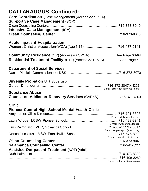# **CATTARAUGUS Continued:**

| <b>Care Coordination</b> (Case management) (Access via SPOA)<br><b>Supportive Case Management (SCM)</b> |                                   |
|---------------------------------------------------------------------------------------------------------|-----------------------------------|
|                                                                                                         |                                   |
| <b>Intensive Case Management (ICM)</b>                                                                  |                                   |
|                                                                                                         |                                   |
| <b>Acute Inpatient Hospitalization</b>                                                                  |                                   |
| <b>Community Residence</b> (CR) (Access via SPOA)See Page 63-64                                         |                                   |
| <b>Residential Treatment Facility</b> (RTF) (Access via SPOA)See Page 63                                |                                   |
|                                                                                                         |                                   |
| <b>Department of Social Services</b>                                                                    |                                   |
|                                                                                                         |                                   |
|                                                                                                         |                                   |
| <b>Juvenile Probation Unit Supervisor</b>                                                               |                                   |
|                                                                                                         | E-mail: godiffenderfer@cattco.org |
| <b>Substance Abuse</b>                                                                                  |                                   |
| Council on Addiction Recovery Services (CAReS)716-373-4303                                              |                                   |
|                                                                                                         |                                   |
| <b>Clinic</b>                                                                                           |                                   |
| <b>Pioneer Central High School Mental Health Clinic</b>                                                 |                                   |
|                                                                                                         |                                   |
|                                                                                                         | E-mail: allafler@cattco.org       |
|                                                                                                         | E-mail: Imwidger@cattco.org       |
|                                                                                                         |                                   |
|                                                                                                         | E-mail: kmpalmquist@cattco.org    |
|                                                                                                         | E-mail: dgunsolus@cattco.org      |
|                                                                                                         |                                   |
|                                                                                                         |                                   |
| <b>Assisted Out-patient Treatment (AOT) (Adult)</b>                                                     |                                   |
|                                                                                                         |                                   |
|                                                                                                         |                                   |
|                                                                                                         | E-mail: rpalmquist@cattco.org     |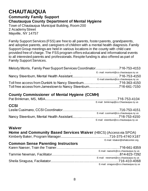### **CHAUTAUQUA Community Family Support**

**Chautauqua County Department of Mental Hygiene**

Town of Chautauqua Municipal Building, Room 200 2 Academy Street Mayville, NY 14757

Family Support Services (FSS) are free to all parents, foster parents, grandparents, and adoptive parents, and caregivers of children with a mental health diagnosis. Family Support Group meetings are held in various locations in the county with child care provided free of charge. The FSS program offers educational and informational events to all interested parents and professionals. Respite funding is also offered as part of Family Support Services.

| Melody Morris, Family Peer Support Services Coordinator716-753-4153 |                                       |
|---------------------------------------------------------------------|---------------------------------------|
|                                                                     | E-.mail: morrisml@co.chautauqua.ny.us |
|                                                                     |                                       |
|                                                                     | E-mail:steenbun@co.chautauqua.ny.us   |
|                                                                     |                                       |
|                                                                     |                                       |

#### **County Commissioner of Mental Hygiene (CCMH)**

|             | E-mail: brinkmap@co.Chautauqua.ny.us |
|-------------|--------------------------------------|
| <b>CCSI</b> |                                      |
|             |                                      |
|             | E-mail: cusimanl@co.chautauqua.ny.us |
|             |                                      |
|             | E-mail: steenbun@co.chautauqua.ny.us |

#### **Waiver**

| Home and Community Based Services Waiver (HBCS) (Access via SPOA) |                                      |
|-------------------------------------------------------------------|--------------------------------------|
|                                                                   |                                      |
|                                                                   | E-mail: kbaker@rehabcenter.org       |
| <b>Common Sense Parenting Instructors</b>                         |                                      |
|                                                                   |                                      |
|                                                                   | E-mail: naeserk@co.chautauqua.ny.us  |
|                                                                   |                                      |
|                                                                   | E-mail: newmant@co.chautauqua.ny.us  |
|                                                                   |                                      |
|                                                                   | E-mail: siraguss@co.chautauqua.ny.us |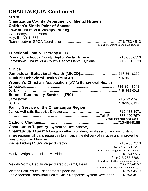# **CHAUTAUQUA Continued:**

#### **SPOA**

**Chautauqua County Department of Mental Hygiene Children's Single Point of Access**

Town of Chautauqua Municipal Building 2 AcademyStreet, Room 200 Mayville, NY 14757 Rachel Ludwig, SPOA Coordinator…..…..…..........…………………………716-753-4513 E-mail: mesmer[r@co.c](mailto:ludwig@co.chautauqua.ny.us) ha utauq ua.ny .us

#### **Functional Family Therapy** (FFT)

Dunkirk, Chautauqua County Dept of Mental Hygiene.…….….………..…..716-363-3550 Jamestown, Chautauqua County Dept of Mental Hygiene.…...…………....716-661-8330

#### **Clinics**

| <b>Women's Christian Association (WCA) Behavioral Health</b>                                                           |                                      |
|------------------------------------------------------------------------------------------------------------------------|--------------------------------------|
|                                                                                                                        |                                      |
|                                                                                                                        |                                      |
| <b>Summit Community Services (TRC)</b>                                                                                 |                                      |
|                                                                                                                        |                                      |
|                                                                                                                        |                                      |
| <b>Family Service of the Chautauqua Region</b>                                                                         |                                      |
|                                                                                                                        |                                      |
|                                                                                                                        | E-mail: jimm@fscr.mygbiz.com         |
| <b>Catholic Charities.</b>                                                                                             |                                      |
|                                                                                                                        |                                      |
| <b>Chautauqua Tapestry</b> (System of Care Initiative)                                                                 |                                      |
| Chautauqua Tapestry brings together providers, families and the community to                                           |                                      |
| share responsibility and resources to enhance the delivery of services and improve the<br>lives of youth and families. |                                      |
|                                                                                                                        |                                      |
|                                                                                                                        |                                      |
|                                                                                                                        | E-mail: mesmerr@co.chautauqua.ny.us  |
|                                                                                                                        |                                      |
|                                                                                                                        |                                      |
|                                                                                                                        | E-mail: wrightm@co.chautauqua.ny.us  |
| Melody Morris, Deputy Project Director/Family Lead716-753-4157                                                         | E-mail: morrisml@co.chautauqua.ny.us |
|                                                                                                                        |                                      |
| Jon Anderson, Behavioral Health Crisis Response System Developer716-753-4517                                           |                                      |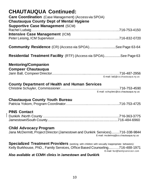| <b>CHAUTAUQUA Continued:</b><br><b>Care Coordination</b> (Case Management) (Access via SPOA)<br><b>Chautauqua County Dept of Mental Hygiene</b><br><b>Supportive Case Management (SCM)</b> |                                       |
|--------------------------------------------------------------------------------------------------------------------------------------------------------------------------------------------|---------------------------------------|
|                                                                                                                                                                                            |                                       |
| <b>Intensive Case Management (ICM)</b>                                                                                                                                                     |                                       |
| <b>Community Residence</b> (CR) (Access via SPOA)See Page 63-64                                                                                                                            |                                       |
| <b>Residential Treatment Facility</b> (RTF) (Access via SPOA)See Page 63                                                                                                                   |                                       |
| <b>Mentoring/Companion</b><br><b>Compeer Chautauqua</b>                                                                                                                                    |                                       |
|                                                                                                                                                                                            | E-mail: ballj@co.chautauqua.ny.us     |
| <b>County Department of Health and Human Services</b>                                                                                                                                      | E-mail: schuylerc@co.chautauqua.ny.us |
| <b>Chautauqua County Youth Bureau</b>                                                                                                                                                      |                                       |
| <b>PINS Contact</b>                                                                                                                                                                        |                                       |
| <b>Child Advocacy Program</b><br>Jana McDermitt, Project Director (Jamestown and Dunkirk Services)716-338-9844                                                                             | E-mail: mcdermoj@co.chautauqua.ny.us  |
| <b>Specialized Treatment Providers</b> (working with children with sexually inappropriate behaviors):<br>Kelly Burkhouse, PhD., Family Services, Office Based Counseling716-488-1971       | E-mail: fscr@familyservicecr.com      |
| Also available at CCMH clinics in Jamestown and Dunkirk                                                                                                                                    |                                       |

 $\overline{\phantom{a}}$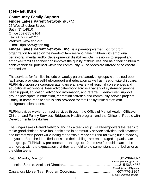# **CHEMUNG**

**Community Family Support Finger Lakes Parent Network** (FLPN) 25 West Steuben Street

Bath, NY 14810 Office 607-776-2164 Fax: 607-776-4327 Website[: www.flpn.org](http://www.flpn.org/) E-mail: [flpninc25@flpn.org](mailto:flpninc25@flpn.org)

**Finger Lakes Parent Network, Inc.** is a parent-governed, not for profit organization focused on the needs of families who have children with emotional, behavioral, mental and/or developmental disabilities. Our mission is to support and empower families so they can improve the quality of their lives and help their children to achieve their full potential within the community. All services are offered at no cost to the families.

The services for families include bi-weekly parent/caregiver groups with trained peer facilitators providing self-help support and education as well as free, on-site childcare. FLPN also sponsors caregiver attendance at a variety of regional conferences and educational workshops. Peer advocates work across a variety of systems to provide peer support, education, advocacy, information, and referral. Teen-driven support groups participate in education, recreation activities and community service projects. Hourly in-home respite care is also provided for families by trained staff with background clearances.

FLPN provides wavier contract services through the Office of Mental Health, Office of Children and Family Services -Bridges to Health program and the Office for People with Developmental Disabilities.

The Finger Lakes Parent Network, Inc has a teen group. FLPN empowers the teens to make good choices, have fun, participate in community service activities, self advocate and interact with peers while being responsible, respectful and following rules made by the youth. Both the identified teens and their siblings are encouraged to participate in teen group. FLPN allow pre-teens from the age of 12 to move from childcare to the teen group with the expectation that they are held to the same standard of behavior as the older teens.

| E-mail: pdinardo@flpn.org |
|---------------------------|
|                           |
| E-mail: jstruble@flpn.org |
|                           |
| E-mail: cmorse@flpn.org   |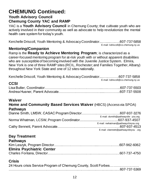# **CHEMUNG Continued:**

### **Youth Advisory Council**

#### **Chemung County YAC and RAMP**

YAC is a Youth Advisory Council in Chemung County; that cultivate youth who are actively involved in their community as well as advocate to help revolutionize the mental health care system for today's youth.

Kerchelle Driscoll, Youth Mentoring & Advocacy Coordinator...….....…..….607-737-5858 E-mail: kdriscoll@co.chemung.ny.us

#### **Mentoring/Companion**

Ramp is the **Ready to Achieve Mentoring Program**; is characterized as a career-focused mentoring program for at-risk youth with or without apparent disabilities who are susceptible of becoming involved with the Juvenile Justice System. Elmira, New York is one of three RAMP sites (RCIL, Rochester; and Families Together, Albany) throughout New York State and one of 12 sites nationally.

Kerchelle Driscoll, Youth Mentoring & Advocacy Coordinator....….……….607-737-5858 E-mail: kdriscoll@co.chemung.ny.us

#### **CCSI**

#### **Waiver**

#### **Home and Community Based Services Waiver** (HBCS) (Access via SPOA) **Pathways**

| E-mail: dsmith@pathwaysfor you.org   |
|--------------------------------------|
|                                      |
| E-mail: nwhatman@pathwaysforyou.org  |
|                                      |
| E-mail: cbennett@pathwaysforyou .org |

### **Day Treatment**

#### **Pathways**

| <b>Elmira Psychiatric Center</b> |  |
|----------------------------------|--|
|                                  |  |

### **Crisis**

| 24 Hours crisis Service Program of Chemung County, Scott Forbes |  |
|-----------------------------------------------------------------|--|
|                                                                 |  |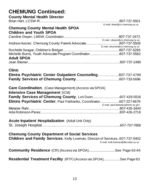## **CHEMUNG Continued:**

| <b>County Mental Health Director</b>                                                |                                      |
|-------------------------------------------------------------------------------------|--------------------------------------|
|                                                                                     |                                      |
| <b>Chemung County Mental Health SPOA</b>                                            | E-mail: bhart@co.chemung.ny.us       |
| <b>Children and Youth SPOA</b>                                                      |                                      |
|                                                                                     |                                      |
|                                                                                     | E-mail: cdwyer@co.chemung.ny.us      |
|                                                                                     | E-mail: ahusner@co.chemung.ny.us     |
|                                                                                     |                                      |
| Michelle Burns, Youth Advocate Program Coordinator607-737-5582<br><b>Adult SPOA</b> |                                      |
|                                                                                     |                                      |
| <b>Clinic</b>                                                                       |                                      |
| Elmira Psychiatric Center Outpatient Counseling607-737-4789                         |                                      |
|                                                                                     |                                      |
|                                                                                     |                                      |
| <b>Care Coordination</b> , (Case Management) (Access via SPOA)                      |                                      |
| <b>Intensive Case Management (ICM)</b>                                              |                                      |
| Family Services of Chemung County, Lori Dunn607-426-5516                            |                                      |
| Elmira Psychiatric Center, Paul Fairbanks, Coordinator607-227-6676                  |                                      |
|                                                                                     | E-mail: paul.fairbanks@omh.ny.gov    |
|                                                                                     |                                      |
|                                                                                     |                                      |
| <b>Acute Inpatient Hospitalization</b> (Adult Unit Only)                            |                                      |
|                                                                                     |                                      |
|                                                                                     |                                      |
| <b>Chemung County Department of Social Services</b>                                 |                                      |
| Children and Family Services, Kelly Lowman, Director of Services607-737-5402        |                                      |
|                                                                                     | E-mail: kelli.lowman@dfa.state.ny.us |
| <b>Community Residence</b> (CR) (Access via SPOA)See Page 63-64                     |                                      |
|                                                                                     |                                      |
| <b>Residential Treatment Facility</b> (RTF) (Access via SPOA)See Page 63            |                                      |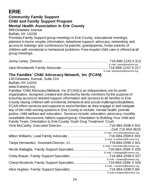# **ERIE**

#### **Community Family Support Child and Family Support Program Mental Health Association in Erie County**

999 Delaware Avenue

Buffalo, NY 14209

Provides Family Support group meetings in Erie County, educational meetings, planned in-home respite, information, telephone support, advocacy, networking and access to trainings and conferences for parents, grandparents, foster parents of children with emotional or behavioral problems.Free respite/ child care is offered at all group meetings.

| E-mail: laney@eriemha.org      |
|--------------------------------|
|                                |
| E-mail: jwoodworth@eriemha.org |

#### **The Families' Child Advocacy Network, Inc (FCAN)**

135 Delaware Avenue, Suite 210

Buffalo, NY 14202

www.fcanwny.org

Families' Child Advocacy Network, Inc (FCAN) is an independent, not for profit organization, designed, created and directed by family members for the purpose of ensuring access to needed support, information and services to all families in Erie County raising children with emotional, behavioral and social challenges/disabilities. FCAN offers services and supports to assist families as they engage in and navigate any of the child serving systems in Erie County to include: mental health, juvenile justice, child welfare and education. Services include: education, advocacy, monthly roundtable discussions, fathers support group, Orientation to Building Your child and Family Team, Orientation to Erie County Youth Drug Treatment Court.

| Cell: 716-954-3615              |
|---------------------------------|
| E-mail: v.mccarthy@fcanwny.org  |
|                                 |
| E-mail: m.williams@fcnwny.org   |
|                                 |
| E-mail: t.hernandez@fcanwny.org |
| 716-884-2599 X 329              |
| E-mail: n.battaglia@fcanwny.org |
| $716-884-2599\times327$         |
| E-mail: c.brauer@fcanwny.org    |
| 716-884-2599 X 328              |
| E-mail: c.brudecki@fcanwny.org  |
|                                 |
| E-mail:a.hughes@fcanwny.org     |
|                                 |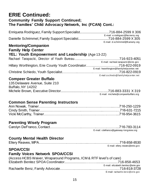### **ERIE Continued: Community Family Support Continued; The Families' Child Advocacy Network, Inc (FCAN) Cont.:**

Enriqueta Rodriguez, Family Support Specialist................................716-884-2599 X 306 E-mail: [e.rodriguez@facnwny.org](mailto:e.rodriguez@facnwny.org) Danielle Schrimmel, Family Support Specialist.................................716-884-2599 X 305 E-mail: d.schrimmel@fcanwny.org

#### **Mentoring/Companion Family Help Center**

#### **YEL: Youth Empowerment and Leadership** (Age 13-22)

|  | E-mail: racheal.tarapacki@erie.gov        |
|--|-------------------------------------------|
|  |                                           |
|  | E-mail: hworthington@familyhelpcenter.net |
|  |                                           |
|  | E-mail:cschiedo@familyhelpcenter.net      |

#### **Compeer Greater Buffalo**

| 135 Delaware Avenue, Suite 210 |                                                                    |
|--------------------------------|--------------------------------------------------------------------|
| Buffalo, NY 14202              |                                                                    |
|                                |                                                                    |
|                                | $\Gamma$ and the actual class construction of the same of $\Gamma$ |

E-mail: [michele@compeerbuffalo.org](mailto:michele@compeerbuffalo.org)

#### **Common Sense Parenting Instructors**

#### **Parenting Wisely Program**

| E-mail: cdefranco@gateway-longview.org |
|----------------------------------------|

#### **County Mental Health Director**

|  | E-mail: ellery.reaves@erie.gov |
|--|--------------------------------|

#### **SPOA/CCSI**

### **Family Voices Network SPOA/CCSI**

| (Access HCBS Waiver, Wraparound Programs, ICM & RTF level's of care) |                                    |  |
|----------------------------------------------------------------------|------------------------------------|--|
|                                                                      |                                    |  |
|                                                                      | E-mail: elizabeth.benitez@erie.gov |  |
|                                                                      |                                    |  |
|                                                                      | E-mail: rachaelle.benz@erie.gov    |  |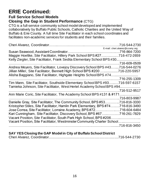### **ERIE Continued: Full Service School Models**

#### **Closing the Gap in Student Performance** (CTG)

CTG is a full-service community school model developed and implemented collaboratively by Buffalo Public Schools, Catholic Charities and the United Way of Buffalo & Erie County. A full time Site Facilitator in each school coordinates and facilitates non-academic services for students and their families.

|                                                                                 | .716-544-2730                   |
|---------------------------------------------------------------------------------|---------------------------------|
|                                                                                 | E-mail: cheri.alvarez@ccwny.org |
|                                                                                 |                                 |
| Maggie Hoeltke, Site Facilitator, Hillery Park School BPS #27716-472-2659       |                                 |
| Kelly Ziegler, Site Facilitator, Frank Sedita Elementary School BPS #30.        |                                 |
|                                                                                 | 716-609-0509                    |
| Andrea Meyers, Site Facilitator, Lovejoy Discovery School BPS #43716-544-0276   |                                 |
| Jillian Miller, Site Facilitator, Bennett High School BPS #200                  | 716-220-5957                    |
| Alisha Baggiano, Site Facilitator, Highgate Heights School BPS #74              |                                 |
|                                                                                 | 716-255-1309                    |
| Tim Mann, Site Facilitator, Southside Elementary School BPS #93716-597-6157     |                                 |
| Tamieka Johnson, Site Facilitator, West Hertel Academy School BPS #94           |                                 |
|                                                                                 | .716-512-9517                   |
| Ann Marie Coric, Site Facilitator, The Academy School BPS #131 & #171           |                                 |
|                                                                                 | 716-803-9987                    |
| Danielle Gray, Site Facilitator, The Community School, BPS #53716-816-3330      |                                 |
| Kristopher Stiles, Site Facilitator, Hamlin Park Elementary, BPS#74716-816-3490 |                                 |
| Jose Correa, Site Facilitator, Lorraine Academy, BPS #72716-604-6484            |                                 |
|                                                                                 |                                 |
| Kari Cunningham, Site Facilitator, Discovery School, BPS #67716-261-7829        |                                 |
| Vacant Position, Site Facilitator, South Park High School, BPS#206.             |                                 |
| Vacant Position, Site Facilitator, Westminster Community Charter School         |                                 |
|                                                                                 | .716-816-3450                   |
|                                                                                 |                                 |

#### **SAY YES Closing the GAP Model in City of Buffalo School District**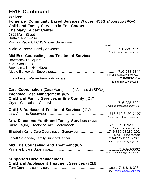# **ERIE Continued:**

| Waiver<br><b>Home and Community Based Services Waiver (HCBS) (Access via SPOA)</b><br><b>Child and Family Services in Erie County</b><br><b>The Mary Talbert Center</b><br>1325 Main Street<br><b>Buffalo, NY 14209</b> | E-mail:                                                       |
|-------------------------------------------------------------------------------------------------------------------------------------------------------------------------------------------------------------------------|---------------------------------------------------------------|
|                                                                                                                                                                                                                         | E-mail: mtreece@cfsnby.org                                    |
| <b>Mid-Erie Counseling and Treatment Services</b><br><b>Bowmansville Square</b><br>5360 Genesee Street<br>Bowmansville, NY 14026                                                                                        | E-mail: nicoleb@mid-erie.gov                                  |
|                                                                                                                                                                                                                         | E-mail: linleiter@aol.com                                     |
| <b>Care Coordination</b> (Case Management) (Access via SPOA)<br><b>Intensive Case Management (ICM)</b><br><b>Child and Family Services in Erie County (ICM)</b>                                                         |                                                               |
| <b>Child &amp; Adolescent Treatment Services (ICM)</b>                                                                                                                                                                  | E-mail: cgiamarisse@cfsbny.org<br>E-mail: Igamble@catswny.org |
| <b>New Directions Youth and Family Services (ICM)</b>                                                                                                                                                                   | E-mail: staylor@ndyfs.org                                     |
| Elizabeth Kuhrt, Care Coordination Supervisor716-839-1392 X 202                                                                                                                                                         | E-mail: lkuhrt@ndyfs.org                                      |
|                                                                                                                                                                                                                         |                                                               |
| Mid Erie Counseling and Treatment (ICM)                                                                                                                                                                                 | E-mail: jcoronado@ndyfs.org<br>E-mail: vinnetteb@mid-erie.org |
| <b>Supported Case Management</b>                                                                                                                                                                                        |                                                               |

| <b>Child and Adolescent Treatment Services (SCM)</b>                                                                                                                                                                                 |
|--------------------------------------------------------------------------------------------------------------------------------------------------------------------------------------------------------------------------------------|
| $\mathbf{F}$ are offered and the contract $\mathbf{F}$ is a function of the contract of the contract of the contract of the contract of the contract of the contract of the contract of the contract of the contract of the contract |

E-mail: [tcranston@catswny.org](mailto:tcranston@catswny.org)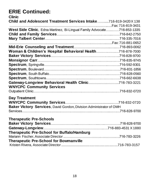#### **ERIE Continued: Clinic**

| VIIIII                                                                  |  |
|-------------------------------------------------------------------------|--|
| Child and Adolescent Treatment Services Intake716-819-3420X 138         |  |
|                                                                         |  |
| West Side Clinic, Edna Martinez, Bi-Lingual Family Advocate716-853-1335 |  |
|                                                                         |  |
|                                                                         |  |
|                                                                         |  |
|                                                                         |  |
| Woman & Children's Hospital Behavioral Health716-878-7000               |  |
|                                                                         |  |
|                                                                         |  |
|                                                                         |  |
|                                                                         |  |
|                                                                         |  |
|                                                                         |  |
| Gateway-Longview Behavioral Health Clinic716-783-3221                   |  |
| <b>WNYCPC Community Services</b>                                        |  |
|                                                                         |  |
| <b>Day Treatment</b>                                                    |  |
|                                                                         |  |
| Baker Victory Services, David Gordon, Division Administrator of OMH     |  |
|                                                                         |  |
|                                                                         |  |
| <b>Therapeutic Pre-Schools</b>                                          |  |
|                                                                         |  |
|                                                                         |  |
| <b>Therapeutic Pre-School for Buffalo/Hamburg</b>                       |  |
|                                                                         |  |
| <b>Therapeutic Pre-School for Bowmanville</b>                           |  |
|                                                                         |  |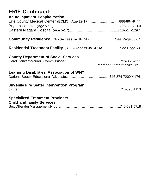| <b>ERIE Continued:</b><br><b>Acute Inpatient Hospitalization</b>         |                                       |
|--------------------------------------------------------------------------|---------------------------------------|
| Erie County Medical Center (ECMC) (Age 12-17)888-894-9444                |                                       |
|                                                                          |                                       |
|                                                                          |                                       |
| <b>Community Residence</b> (CR) (Access via SPOA)See Page 63-64          |                                       |
| <b>Residential Treatment Facility</b> (RTF) (Access via SPOA)See Page 63 |                                       |
| <b>County Department of Social Services</b>                              |                                       |
|                                                                          | E-mail: carol.dankert-maurer@erie.gov |
| <b>Learning Disabilities Association of WNY</b>                          |                                       |
|                                                                          |                                       |
| <b>Juvenile Fire Setter Intervention Program</b>                         |                                       |
|                                                                          |                                       |
| <b>Specialized Treatment Providers</b>                                   |                                       |
| <b>Child and family Services</b>                                         |                                       |
|                                                                          |                                       |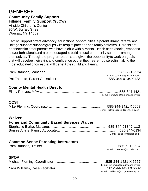#### **GENESEE Community Family Support Hillside Family Support** (GLOW) Hillside Children's Center 96 W. Buffalo Street

Warsaw, NY 14569

Family Support offers advocacy, educational opportunities, a parent library, referral and linkage support, support groups with respite provided and family activities. Parents are connected to other parents who have a child with a Mental Health need (social, emotional and/or behavioral) and are encouraged to build natural community supports amongst themselves. Through the program parents are given the opportunity to work on goals that will develop their skills and confidence so that they feel empowered in making the most educated choices that will benefit their child and family.

| E-mail: pbrannan @ hillside.com |
|---------------------------------|
|                                 |

#### **County Mental Health Director**

|  | E-mail: ereaves@co.genesee.ny.us |
|--|----------------------------------|

#### **CCSI**

|  | E-mail: mfleming@Co.Genesee.ny.us |
|--|-----------------------------------|

#### **Waiver**

#### **Home and Community Based Services Waiver**

| E-mail: balkins@hillside.com |
|------------------------------|

#### **Common Sense Parenting Instructors**

|  | E-mail: pbrannan@hillside.com |
|--|-------------------------------|

#### **SPOA**

| E-mail: mfleming@co.genesse.ny.us  |
|------------------------------------|
|                                    |
| E-mail: nwilliams@co.genesee.ny.us |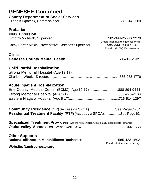## **GENESEE Continued:**

**County Department of Social Services**

| <b>County Department of Social Services</b> |  |  |
|---------------------------------------------|--|--|
|                                             |  |  |

#### **Probation PINS Diversion**

| I IITU PITUIJIUII                                                       |                                    |
|-------------------------------------------------------------------------|------------------------------------|
|                                                                         |                                    |
|                                                                         | E-mail: tmichalak@co.genesee.ny.us |
| Kathy Porter-Makin, Preventative Services Supervisor585-344-2580 X 6409 |                                    |
|                                                                         | E-mail: 18A201@dfa.state.ny.us     |

#### **Clinic**

|--|--|

#### **Child Partial Hospitalization**

| Strong Memorial Hospital (Age 12-17) |  |
|--------------------------------------|--|
|                                      |  |

#### **Acute Inpatient Hospitalization**

| Erie County Medical Center (ECMC) (Age 12-17)888-894-9444 |  |
|-----------------------------------------------------------|--|
|                                                           |  |
|                                                           |  |

| <b>Community Residence</b> (CR) (Access via SPOA)See Page 63-64          |  |
|--------------------------------------------------------------------------|--|
| <b>Residential Treatment Facility</b> (RTF) (Access via SPOA)See Page 63 |  |

**Specialized Treatment Providers** (working with children with sexually inappropriate behaviors) **Oatka Valley Associates** Brent Ewell, CSW…….................................585-344-1563

#### **Other Supports**

|                                   | E-mail: info@namirochester.org |
|-----------------------------------|--------------------------------|
| <b>Website: Namirochester.org</b> |                                |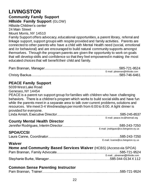# **LIVINGSTON**

**Community Family Support**

**Hillside Family Support** (GLOW)

Hillside Children's center 24 Main Street

Mount Morris, NY 14510

Family Support offers advocacy, educational opportunities, a parent library, referral and linkage support, support groups with respite provided and family activities. Parents are connected to other parents who have a child with Mental Health need (social, emotional and /or behavioral) and are encouraged to build natural community supports amongst themselves. Through the program parents are given the opportunity to work on goals that will develop skills and confidence so that they feel empowered in making the most educated choices that will benefit their child and family.

| E-mail: pbrannan@hillside.com |
|-------------------------------|
|                               |

#### **PEACE Family Support**

5039 West Lake Road Geneseo, NY 14454 PEACE is a parent run support group for families with children who have challenging behaviors. There is a children's program which works to build social skills and have fun while the parents meet in a separate area to talk over current problems, solutions and resources. We meet 3-4 Wednesdays per month from 6:00 to 8:00. A light dinner is provided for everyone. Linda Amish, Executive Director………………………..………………………585-245-8537 E-mail: [peace.inc@hotmail.org](mailto:peace.inc@hotmail.org)

#### **County Mental Health Director**

|  | E-mail: jrodriguez@co.livingston.ny.us |
|--|----------------------------------------|

#### **SPOA/CCSI**

|  | E-mail: Icanne@co.livingston.ny.us |
|--|------------------------------------|

#### **Waiver**

| Home and Community Based Services Waiver (HCBS) (Access via SPOA) |                             |  |
|-------------------------------------------------------------------|-----------------------------|--|
|                                                                   |                             |  |
|                                                                   | E-mailpbrannan@hillside.com |  |
|                                                                   |                             |  |

### **Common Sense Parenting Instructor**

|--|--|--|--|--|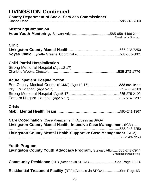| <b>LIVINGSTON Continued:</b>                                                                                                                     |
|--------------------------------------------------------------------------------------------------------------------------------------------------|
| <b>County Department of Social Services Commissioner</b>                                                                                         |
|                                                                                                                                                  |
| <b>Mentoring/Companion</b><br>E-mail: satkin@dor.org                                                                                             |
| <b>Clinic</b>                                                                                                                                    |
|                                                                                                                                                  |
| <b>Child Partial Hospitalization</b>                                                                                                             |
| Strong Memorial Hospital (Age 12-17)                                                                                                             |
|                                                                                                                                                  |
| <b>Acute Inpatient Hospitalization</b>                                                                                                           |
| Erie County Medical Center (ECMC) (Age 12-17)888-894-9444                                                                                        |
|                                                                                                                                                  |
|                                                                                                                                                  |
|                                                                                                                                                  |
| <b>Crisis</b>                                                                                                                                    |
|                                                                                                                                                  |
| <b>Care Coordination</b> (Case Management) (Access via SPOA)<br>Livingston County Mental Health, Intensive Case Management (ICM)<br>585-243-7250 |
| Livingston County Mental Health Supportive Case Management (SCM)                                                                                 |
| <b>Youth Program</b>                                                                                                                             |
| Livingston County Youth Advocacy Program, Stewart Atkin585-243-7944<br>E-mail: satkin@lasroc.org                                                 |
| <b>Community Residence</b> (CR) (Access via SPOA)See Page 63-64                                                                                  |
| <b>Residential Treatment Facility</b> (RTF) (Access via SPOA)See Page 63                                                                         |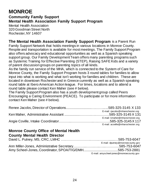### **MONROE Community Family Support Mental Health Association Family Support Program**

Mental Health Association 320 Goodman Street North Rochester,NY 14607

**The Mental Health Association Family Support Program** is a Parent Run Family Support Network that holds meetings in various locations in Monroe County. Respite and transportation is available for most meetings. The Family Support Program also offers advocacy and educational opportunities as well as a Spanish speaking support group. Our Family Development Team offers many parenting programs such as Systemic Training for Effective Parenting (STEP), Raising SAFE Kids and a variety of parent discussiongroups on parenting topics of all kinds.

As the family run service of the MHA, which is connected to the System of Care for Monroe County, the Family Support Program hosts 3 round tables for families to allow input into what is working and what isn't working for families and children. These are located in downtown Rochester and in Greece currently as well as a Spanish speaking round table at Ibero American Action league. For times, locations and to attend a round table please contact Ken Maher (see # below).

The Family Support Program also has a youth development group called Peers Encouraging a Caring Environment (PEACE). To participate or for more information contact Ken Maher (see # below).

| E-mail: rjacobs@mharochester.org  |
|-----------------------------------|
|                                   |
| E-mail: kmaher@mharochester.org   |
|                                   |
| E-mail: acoville@mharochester.org |

#### **Monroe County Office of Mental Health County Mental Health Director**

| <b>County Mental Redith Director</b> |                                          |
|--------------------------------------|------------------------------------------|
|                                      |                                          |
|                                      | E-mail: dputney@monroecounty.gov         |
|                                      |                                          |
|                                      |                                          |
|                                      | E-mail: amyscheel-jones@monroecounty.gov |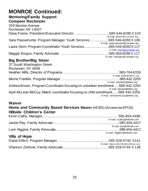#### **Mentoring/Family Support Compeer Rochester**

| 259 Monroe Avenue                                                 |                                  |
|-------------------------------------------------------------------|----------------------------------|
| Rochester, NY 14607                                               |                                  |
|                                                                   |                                  |
|                                                                   | E-mail: dframe@compeer.org       |
| Sara Passamonte, Program Manager Youth Services585-546-8280 X 106 |                                  |
|                                                                   | E-mail: spassamonte@compeer.org  |
| Laura Stom, Program Coordinator Youth Services585-546-8280 X 117  |                                  |
|                                                                   | E-mail: <b>Istom@compeer.org</b> |
|                                                                   |                                  |
|                                                                   | E-mail: mburgos@compeer.org      |

#### **Big Brother/Big Sister**

| 37 South Washington Street                                                     |                                |
|--------------------------------------------------------------------------------|--------------------------------|
| Rochester, NY 4608                                                             |                                |
|                                                                                |                                |
|                                                                                | E-mail: hmills@bbbsr.org       |
|                                                                                |                                |
|                                                                                | E-mail: mfranklin@bbbsr.org    |
| Andrea Brown, Program Coordinator focusing on volunteer enrollment585-442-2250 |                                |
|                                                                                | E-mail: abrown@bbbsr.org       |
| April McLean-McCoy, Match coordinator focusing on child enrollment585-442-2250 |                                |
|                                                                                | E-mail: amcleanmccoy@bbbsr.org |

#### **Waiver**

#### **Home and Community Based Services Waiver** (HCBS) (Access via SPOA) **Hillside Children's Center**

|                      | E-mail: kcathy@hillside.com          |
|----------------------|--------------------------------------|
|                      |                                      |
|                      | E-mail: jray@hillside.com            |
|                      |                                      |
|                      | E-mail: lhiggins@hillside.com        |
| <b>Villa of Hope</b> |                                      |
|                      |                                      |
|                      | E-mail: diana.edlich@villaofhope.org |
|                      |                                      |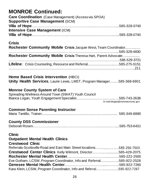| <b>Care Coordination</b> (Case Management) (Access via SPOA) |  |
|--------------------------------------------------------------|--|
| <b>Supportive Case Management (SCM)</b>                      |  |
|                                                              |  |
| <b>Intensive Case Management (ICM)</b>                       |  |
|                                                              |  |

#### **Crisis**

| Rochester Community Mobile Crisis Jacquie West, Team Coordinator      |  |
|-----------------------------------------------------------------------|--|
|                                                                       |  |
| Rochester Community Mobile Crisis Theresa Hart, Parent Advocate       |  |
|                                                                       |  |
| <b>Lifeline:</b> Crisis Counseling, Resource and Referral585-275-5151 |  |
|                                                                       |  |

#### **Home Based Crisis Intervention** (HBCI)

|  |  |  | Unity Health Services, Laurie Lewis, LMST, Program Manager585-368-6901 |  |
|--|--|--|------------------------------------------------------------------------|--|
|  |  |  |                                                                        |  |

#### **Monroe County System of Care**

| Spreading Wellness Around Town (SWAT) Youth Council |                                |
|-----------------------------------------------------|--------------------------------|
|                                                     |                                |
|                                                     | E-mail:blogan@monroecounty.gov |

#### **Common Sense Parenting Instructor**

|--|--|--|--|--|

#### **County DSS Commissioner**

|--|--|

#### **Clinic**

#### **Outpatient Mental Health Clinics**

#### **Crestwood Clinic**

| Referrals-Scottsville Road and East Main Street locations585-256-7500 |  |
|-----------------------------------------------------------------------|--|
| Crestwood Center Clinics Kelly Wilmont, Director585-429-2075          |  |
|                                                                       |  |
| Eve Gotham, LCSW, Program Coordinator, Info and Referral585-922-2528  |  |
|                                                                       |  |
| Kara Klein, LCSW, Program Coordinator, Info and Referral585-922-7267  |  |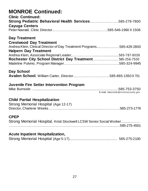| <b>Clinic Continued:</b><br>Strong Pediatric Behavioral Health Services585-279-7800                                                     |                                    |
|-----------------------------------------------------------------------------------------------------------------------------------------|------------------------------------|
| <b>Cayuga Centers</b>                                                                                                                   |                                    |
| Day Treatment                                                                                                                           |                                    |
| <b>Crestwood Day Treatment</b><br>Andrea Klein, Clinical Director of Day Treatment Programs585-429-2803<br><b>Halpern Day Treatment</b> |                                    |
|                                                                                                                                         |                                    |
| Rochester City School District Day Treatment 585-256-7500                                                                               |                                    |
|                                                                                                                                         |                                    |
| <b>Day School</b><br><b>Avalon School, William Carter, Director585-865-1550 X 701</b>                                                   |                                    |
| <b>Juvenile Fire Setter Intervention Program</b>                                                                                        |                                    |
|                                                                                                                                         | E-mail: mburnside@monroecounty.gov |
| <b>Child Partial Hospitalization</b><br>Strong Memorial Hospital (Age 12-17)                                                            |                                    |
| <b>CPEP</b><br>Strong Memorial Hospital, Kristi Stockwell LCSW Senior Social Worker                                                     |                                    |
| Aquto Innotiont Hoopitalization                                                                                                         |                                    |

#### **Acute Inpatient Hospitalization,**

|--|--|--|--|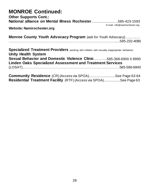| <b>Other Supports Cont.:</b><br>National alliance on Mental Illness Rochester585-423-1593                                                   |                                |
|---------------------------------------------------------------------------------------------------------------------------------------------|--------------------------------|
| Website: Namirochester.org                                                                                                                  | E-mail: info@namirochester.org |
| <b>Monroe County Youth Advocacy Program</b> (ask for Youth Advocacy)                                                                        |                                |
| Specialized Treatment Providers (working with children with sexually inappropriate behaviors)<br><b>Unity Health System</b>                 |                                |
| <b>Sexual Behavior and Domestic Violence Clinic585-368-6900 X 8990</b><br><b>Linden Oaks Specialized Assessment and Treatment Services</b>  |                                |
|                                                                                                                                             |                                |
| <b>Community Residence</b> (CR) (Access via SPOA)See Page 63-64<br><b>Residential Treatment Facility</b> (RTF) (Access via SPOA)See Page 63 |                                |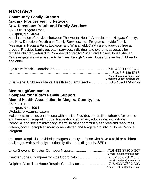# **NIAGARA**

#### **Community Family Support Niagara Frontier Family Network New Directions Youth and Family Services**

6395 Old Niagara Road

Lockport,NY 14094

A collaboration of services between The Mental Health Associationin Niagara County, and New Directions Youth and Family Services, Inc. Programs provide Family Meetings in Niagara Falls, Lockport, and Wheatfield. Child care is provided free at groups. Provides family outreach services, individual and systems advocacy for families/children, referral to Compeer Niagara for "kids", and Casey House shelter. Crisis respite is also available to families through Casey House Shelter for children 12 and older.

|                                                                           | E-mail:Iszafranski@ndyfs.org   |
|---------------------------------------------------------------------------|--------------------------------|
|                                                                           | E-mail:familysupport@ndyfs.org |
| Julia Fierle, Children's Mental Health Program Director716-439-1179 X 429 |                                |

#### **Mentoring/Companion**

#### **Compeer for "Kids"/ Family Support Mental Health Association in Niagara County, Inc.**

36 Pine Street Lockport,NY 14094 Website: [www.mhanc.com](http://www.mhanc.com/)

Volunteers matched one on one with a child. Provides for families referred for respite and families in support groups. Recreational activities, educational workshops, individual and system advocacy referral to other community services and resources, videos, books, pamphlet, monthly newsletter, and Niagara County In-Home Respite Program.

In-Home Respite is provided in Niagara County to those who have a child or children challenged with seriously emotionally disturbed diagnosis (SED)

| E-mail: Istevens@mhanc.com  |
|-----------------------------|
|                             |
| E-mail: heatherj@mhanc.com  |
|                             |
| E-mail: delphined@mhanc.com |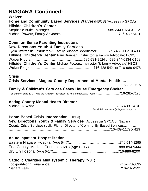# **NIAGARA Continued:**

#### **Waiver**

| Home and Community Based Services Waiver (HBCS) (Access via SPOA) |  |
|-------------------------------------------------------------------|--|
| <b>Hillside Children's Center</b>                                 |  |
|                                                                   |  |
|                                                                   |  |

#### **Common Sense Parenting Instructors New Directions Youth & Family Services**

Lydia Szafranski, Instructor (& Family Support Coordinator)….……716-439-1179 X 493 **Hillside Children's Center** Pam Brannan, Instructor (& Family Advocate) HCBS Waiver Program…………………………………......585-721-9524 or 585-344-0134 X 108 **Hillside Children's Center** Michael Powers, Instructor (& family Advocate) HBCS Waiver Program……………………………….....………….716-438-5421 or 716-989-9478

### **Crisis**

| Crisis Services, Niagara County Department of Mental Health                                 |  |
|---------------------------------------------------------------------------------------------|--|
|                                                                                             |  |
| <b>Family &amp; Children's Services Casey House Emergency Shelter</b>                       |  |
| (For children ages 12-17 who are runaway, homeless, at-risk or throwaway youth)716-285-7125 |  |

### **Acting County Mental Health Director**

Michael A. White..........................................………….……........................716-439-7410 E-mail:Michael.white@niagaracounty.com

#### **Home Based Crisis Intervention** (HBCI)

| <b>New Directions Youth &amp; Family Services</b> (Access via SPOA or Niagara |  |
|-------------------------------------------------------------------------------|--|
| County Crisis Services) Julia Fierle, Director of Community Based Services    |  |
|                                                                               |  |

#### **Acute Inpatient Hospitalization**

| Erie County Medical Center (ECMC) (Age 12-17)1-888-894-9444 |  |
|-------------------------------------------------------------|--|
|                                                             |  |

### **Catholic Charities Multisystemic Therapy** (MST)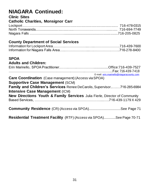### **NIAGARA Continued: Clinic Sites**

| <b>Catholic Charities, Monsignor Carr</b> |  |
|-------------------------------------------|--|
|                                           |  |
|                                           |  |
|                                           |  |

### **County Department of Social Services**

#### **SPOA Adults and Children:**

| <b>Adults and Children:</b>                                                           |                                          |
|---------------------------------------------------------------------------------------|------------------------------------------|
|                                                                                       |                                          |
|                                                                                       |                                          |
|                                                                                       | E-mail: erin.marinello@niagaracounty.com |
| <b>Care Coordination</b> (Case management) (Access via SPOA)                          |                                          |
| <b>Supportive Case Management (SCM)</b>                                               |                                          |
| <b>Family and Children's Services</b> Renee DeCarolis, Supervisor716-285-6984         |                                          |
| <b>Intensive Case Management (ICM)</b>                                                |                                          |
| <b>New Directions Youth &amp; Family Services</b> Julia Fierle, Director of Community |                                          |
|                                                                                       |                                          |
|                                                                                       |                                          |
| <b>Community Residence</b> (CR) (Access via SPOA)See Page 71                          |                                          |
|                                                                                       |                                          |
| <b>Residential Treatment Facility</b> (RTF) (Access via SPOA)See Page 70-71           |                                          |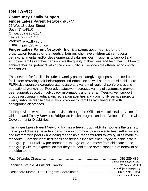# **ONTARIO**

### **Community Family Support Finger Lakes Parent Network** (FLPN)

25 WestSteuben Street Bath, NY 14810 Office: 607-776-2164 Fax: 607-776-4327 Website[:www.flpn.org](http://www.flpn.org/) E-mail: [flpninc25@flpn.org](mailto:flpninc25@flpn.org)

**Finger Lakes Parent Network, Inc.** is a parent-governed, not for profit organization focused on the needs of families who have children with emotional, behavioral, mental and/or developmental disabilities. Our mission is to support and empower families so they can improve the quality of their lives and help their children to achieve their full potential within the community. All services are offered at no cost to the families.

The services for families include bi-weekly parent/caregiver groups with trained peer facilitators providing self-help support and education as well as free, on-site childcare. FLPN also sponsors caregiver attendance at a variety of regional conferences and educational workshops. Peer advocates work across a variety of systems to provide peer support, education, advocacy, information, and referral. Teen-driven support groups participate in education, recreation activities and community service projects. Hourly in-home respite care is also provided for families by trained staff with background clearances.

FLPN provides wavier contract services through the Office of Mental Health, Office of Children and Family Services -Bridges to Health program and the Office for People with Developmental Disabilities.

The Finger Lakes Parent Network, Inc has a teen group. FLPN empowers the teens to make good choices, have fun, participate in community service activities, self advocate and interact with peers while being responsible, respectful and following rules made by the youth. Both the identified teens and their siblings are encouraged to participate in teen group. FLPN allow pre-teens from the age of 12 to move from childcare to the teen group with the expectation that they are held to the same standard of behavior as the older teens.

| E-mail: pdinardo@flpn.org |
|---------------------------|
|                           |
| E-mail: jstruble@flpn.org |
|                           |
| E-mail: cmorse@flpn.org   |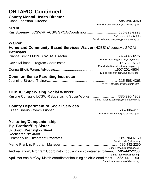# **ONTARIO Continued:**

**County Mental Health Director**

| <b>COUTTLY METHAL REART DIFFICIOL</b>                                                                        |                                                                             |
|--------------------------------------------------------------------------------------------------------------|-----------------------------------------------------------------------------|
| <b>SPOA</b>                                                                                                  | E-mail: diane.johnston@co.ontario.ny.us                                     |
|                                                                                                              |                                                                             |
| Waiver                                                                                                       | E-mail: krisanne.sweeney@co.ontario.ny.us                                   |
| <b>Home and Community Based Services Waiver (HCBS) (Access via SPOA)</b><br><b>Pathways</b>                  |                                                                             |
|                                                                                                              |                                                                             |
|                                                                                                              | E-mail: dsmithf@pathwaysforyou.org                                          |
|                                                                                                              | E-mail: dmilliman@pathwaysforyou.org<br>E-mail: delliott@pathwaysforyou.org |
| <b>Common Sense Parenting Instructor</b>                                                                     |                                                                             |
|                                                                                                              | E-mail: jstruble1@rochester.rr.com                                          |
| <b>OCMHC Supervising Social Worker</b>                                                                       |                                                                             |
| Kristine Consiglio, LCSW-R Supervising Social Worker585-396-4363                                             | E-mail: Kristine.consiglio@co.ontario.ny.us                                 |
| <b>County Department of Social Services</b>                                                                  |                                                                             |
|                                                                                                              | E-mail: eileen.tiberio@co.ontario.ny.us                                     |
| Mentoring/Companionship<br><b>Big Brother/Big Sister</b><br>37 South Washington Street<br>Rochester, NY 4608 |                                                                             |
|                                                                                                              |                                                                             |
|                                                                                                              | E-mail: hmills@bbbsr.org                                                    |
| Andrea Brown, Program Coordinator focusing on volunteer enrollment585-442-2250                               | E-mail: mfranklin@bbbsr.org<br>E-mail: abrown@bbbsr.org                     |
| April McLean-McCoy, Match coordinator focusing on child enrollment585-442-2250                               | E-mail: amcleanmccoy@bbbsr.org                                              |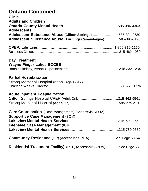# **Ontario Continued:**

| <b>Clinic</b><br><b>Adults and Children</b>                                                                               |  |
|---------------------------------------------------------------------------------------------------------------------------|--|
| <b>Adolescents</b>                                                                                                        |  |
| Adolescent Substance Abuse (Clifton Springs)585-394-0530<br>Adolescent Substance Abuse (Turnings Canandaigua)585-396-4190 |  |
|                                                                                                                           |  |
| <b>Day Treatment</b><br><b>Wayne-Finger Lakes BOCES</b>                                                                   |  |
| <b>Partial Hospitalization</b><br>Strong Memorial Hospitalization (Age 12-17)                                             |  |
| <b>Acute Inpatient Hospitalization</b>                                                                                    |  |
| <b>Care Coordination</b> (Case Management) (Access via SPOA)<br><b>Supportive Case Management (SCM)</b>                   |  |
| <b>Intensive Case Management (ICM)</b>                                                                                    |  |
| Community Residence (CR) (Access via SPOA)See Page 63-64                                                                  |  |
| <b>Residential Treatment Facility)</b> (RTF) (Access via SPOA)See Page 63                                                 |  |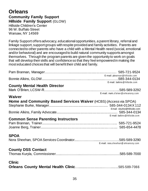#### **Orleans Community Family Support Hillside Family Support** (GLOW) Hillside Children's Center 96 W. Buffalo Street Warsaw, NY 14569

Family Support offers advocacy, educational opportunities, a parent library, referral and linkage support, support groups with respite provided and family activities. Parents are connected to other parents who have a child with a Mental Health need (social, emotional and/or behavioral) and are encouraged to build natural community supports amongst themselves. Through the program parents are given the opportunity to work on goals that will develop their skills and confidence so that they feel empowered in making the most educated choices that will benefit their child and family.

|                                                                                    | E-mail: pbrannan@hillside.com      |
|------------------------------------------------------------------------------------|------------------------------------|
| <b>County Mental Health Director</b>                                               | E-mail: balkins@hillside.com       |
| Waiver<br><b>Home and Community Based Services Waiver</b> (HCBS) (Access via SPOA) | E-mail: mark.o'brien@orleansny.com |
|                                                                                    | Email: sburke@hillside.com         |
| <b>Common Sense Parenting Instructors</b>                                          | E-mail: balkins@hillside.com       |
| <b>SPOA</b>                                                                        | E-mail: nora.sheehan@orleansny.com |
| <b>County DSS Contact</b>                                                          |                                    |
| <b>Clinic</b>                                                                      |                                    |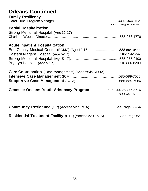### **Orleans Continued:**

| <b>Family Resiliency</b> |                            |
|--------------------------|----------------------------|
|                          |                            |
|                          | E-mail: chunt@hillside.com |

### **Partial Hospitalization**

| Strong Memorial Hospital (Age 12-17) |  |
|--------------------------------------|--|
|                                      |  |

#### **Acute Inpatient Hospitalization**

| Erie County Medical Center (ECMC) (Age 12-17)888-894-9444 |  |
|-----------------------------------------------------------|--|
|                                                           |  |
|                                                           |  |
|                                                           |  |

| <b>Care Coordination</b> (Case Management) (Access via SPOA) |  |
|--------------------------------------------------------------|--|
|                                                              |  |
|                                                              |  |

|  | Genesee-Orleans Youth Advocacy Program585-344-2580 X 5716 |
|--|-----------------------------------------------------------|
|  |                                                           |

| <b>Community Residence</b> (CR) (Access via SPOA)See Page 63-64 |  |  |  |
|-----------------------------------------------------------------|--|--|--|
|-----------------------------------------------------------------|--|--|--|

**Residential Treatment Facility** (RTF) (Access via SPOA)..................See Page 63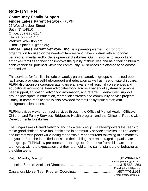# **SCHUYLER**

**Community Family Support Finger Lakes Parent Network** (FLPN) 25 WestSteuben Street

Bath, NY 14810 Office: 607-776-2164 Fax: 607-776-4327 Website[:www.flpn.org](http://www.flpn.org/) E-mail: [flpninc25@flpn.org](mailto:flpninc25@flpn.org)

**Finger Lakes Parent Network, Inc.** is a parent-governed, not for profit organization focused on the needs of families who have children with emotional, behavioral, mental and/or developmental disabilities. Our mission is to support and empower families so they can improve the quality of their lives and help their children to achieve their full potential within the community. All services are offered at no cost to the families.

The services for families include bi-weekly parent/caregiver groups with trained peer facilitators providing self-help support and education as well as free, on-site childcare. FLPN also sponsors caregiver attendance at a variety of regional conferences and educational workshops. Peer advocates work across a variety of systems to provide peer support, education, advocacy, information, and referral. Teen-driven support groups participate in education, recreation activities and community service projects. Hourly in-home respite care is also provided for families by trained staff with background clearances.

FLPN provides wavier contract services through the Office of Mental Health, Office of Children and Family Services -Bridges to Health program and the Office for People with Developmental Disabilities.

The Finger Lakes Parent Network, Inc has a teen group. FLPN empowers the teens to make good choices, have fun, participate in community service activities, self advocate and interact with peers while being responsible, respectful and following rules made by the youth. Both the identified teens and their siblings are encouraged to participate in teen group. FLPN allow pre-teens from the age of 12 to move from childcare to the teen group with the expectation that they are held to the same standard of behavior as the older teens.

| E-mail: pdinardo@flpn.org |
|---------------------------|
|                           |
| E-mail: jstruble@flpn.org |
|                           |
| E-mail: cmorse@flpn.org   |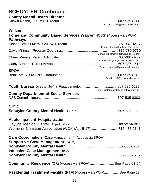# **SCHUYLER Continued:**

**County Mental Health Director**

E-mail[: srosno@co.schuyler.ny.us](mailto:srosno@co.schuyler.ny.us)

| <b>Waiver</b><br>Home and Community Based Services Waiver (HCBS) (Access via SPOA)<br><b>Pathways</b> |                                                                           |
|-------------------------------------------------------------------------------------------------------|---------------------------------------------------------------------------|
|                                                                                                       |                                                                           |
|                                                                                                       | E-mail: dsmith@pathwaysforyou.org<br>E-mail: dmilliman@pathwaysforyou.org |
|                                                                                                       | E-mail: cmeyers@pathwaysforyou.org                                        |
|                                                                                                       | E-mail: cbennett@pathwaysforyou.org                                       |
| <b>SPOA</b>                                                                                           | E-mail: btaft@co.schuyler.ny.us                                           |
|                                                                                                       | E-mail: jfratarcangelo@co.schuyler.ny.us                                  |
| <b>County Department of Social Services</b>                                                           |                                                                           |
| <b>Clinic</b>                                                                                         |                                                                           |
| <b>Acute Inpatient Hospitalization</b><br>Women's Christian Association (WCA) (Age 5-17)716-487-0141  |                                                                           |
| Care Coordination (Case Management) (Access via SPOA)<br><b>Supportive Case Management (SCM)</b>      |                                                                           |
| <b>Intensive Case Management (ICM)</b>                                                                |                                                                           |
|                                                                                                       |                                                                           |
| <b>Community Residence</b> (CR) (Access via SPOA)See Page 63-64                                       |                                                                           |
| <b>Residential Treatment Facility</b> (RTF) (Access via SPOA)See Page 63                              |                                                                           |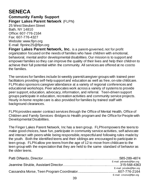# **SENECA**

**Community Family Support Finger Lakes Parent Network** (FLPN) 25 WestSteuben Street

Bath, NY 14810 Office: 607-776-2164 Fax: 607-776-4327 Website[:www.flpn.org](http://www.flpn.org/) E-mail: [flpninc25@flpn.org](mailto:flpninc25@flpn.org)

**Finger Lakes Parent Network, Inc.** is a parent-governed, not for profit organization focused on the needs of families who have children with emotional, behavioral, mental and/or developmental disabilities. Our mission is to support and empower families so they can improve the quality of their lives and help their children to achieve their full potential within the community. All services are offered at no cost to the families.

The services for families include bi-weekly parent/caregiver groups with trained peer facilitators providing self-help support and education as well as free, on-site childcare. FLPN also sponsors caregiver attendance at a variety of regional conferences and educational workshops. Peer advocates work across a variety of systems to provide peer support, education, advocacy, information, and referral. Teen-driven support groups participate in education, recreation activities and community service projects. Hourly in-home respite care is also provided for families by trained staff with background clearances.

FLPN provides wavier contract services through the Office of Mental Health, Office of Children and Family Services -Bridges to Health program and the Office for People with Developmental Disabilities.

The Finger Lakes Parent Network, Inc has a teen group. FLPN empowers the teens to make good choices, have fun, participate in community service activities, self advocate and interact with peers while being responsible, respectful and following rules made by the youth. Both the identified teens and their siblings are encouraged to participate in teen group. FLPN allow pre-teens from the age of 12 to move from childcare to the teen group with the expectation that they are held to the same standard of behavior as the older teens.

| E-mail: pdinardo@flpn.org |
|---------------------------|
|                           |
| E-mail: jstruble@flpn.org |
|                           |
| E-mail: cmorse@flpn.org   |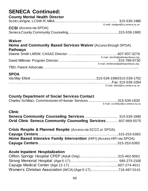# **SENECA Continued:**

### **County Mental Health Director**

|                               | E-mail: slavigne@co,seneca.ny.us |
|-------------------------------|----------------------------------|
| <b>CCSI</b> (Access via SPOA) |                                  |

Seneca County Community Counseling.......................................................315-539-1980

#### **Waiver**

# **Home and Community Based Services Waiver** (Access through SPOA) **Pathways**

| E-mail: dsmith@pathwaysforyou.org    |
|--------------------------------------|
|                                      |
| E-mail: dmilliman@pathwaysforyou.org |
|                                      |

# **SPOA**

| E-mail: ielliott@co.seneca.ny.us |
|----------------------------------|

### **County Department of Social Services Contact**

| Charles Schillaci, Commissioner of Human Services315-539-1830 |
|---------------------------------------------------------------|
| E-mail: cschillaci@co.seneca.ny.us                            |

| <b>Clinic</b>                                                       |  |
|---------------------------------------------------------------------|--|
|                                                                     |  |
| <b>Ovid Clinic Seneca Community Counseling Services607-869-5575</b> |  |

| Crisis Respite & Planned Respite (Access via SCCC or SPOA)             |  |
|------------------------------------------------------------------------|--|
|                                                                        |  |
| Home Based Intensive Family Intervention (HIFI) (Access HIFI via SPOA) |  |
|                                                                        |  |

### **Acute Inpatient Hospitalization**

| Women's Christian Association (WCA) (Age 5-17)716-487-0141 |  |
|------------------------------------------------------------|--|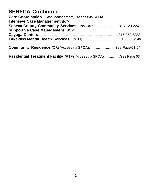# **SENECA Continued:**

**Care Coordination** (Case Management) (Access via SPOA) **Intensive Case Management** (ICM) **Seneca County Community Services**, Lisa Galle.....……….……...315-729-2241 **Supportive Case Management** (SCM) **Cayuga Centers**…………..……..…………………………..……….……..315-253-5383 **Lakeview Mental Health Services** (LMHS)……………………..…….315-568-9346 **Community Residence** (CR) (Access via SPOA).............................See Page 63-64

**Residential Treatment Facility** (RTF) (Access via SPOA)..................See Page 63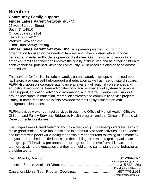# **Steuben**

# **Community Family support Finger Lakes Parent Network** (FLPN)

25 west Steuben Street Bath, NY 14810 Office: 607-776-2164 Fax: 607-776-4327 Website: www.flpn.org E-mail: [flpninc25@flpn.org](mailto:flpninc25@flpn.org)

**Finger Lakes Parent Network, Inc.** is a parent-governed, not for profit organization focused on the needs of families who have children with emotional, behavioral, mental and/or developmental disabilities. Our mission is to support and empower families so they can improve the quality of their lives and help their children to achieve their full potential within the community. All services are offered at no cost to the families.

The services for families include bi-weekly parent/caregiver groups with trained peer facilitators providing self-help support and education as well as free, on-site childcare. FLPN also sponsors caregiver attendance at a variety of regional conferences and educational workshops. Peer advocates work across a variety of systems to provide peer support, education, advocacy, information, and referral. Teen-driven support groups participate in education, recreation activities and community service projects. Hourly in-home respite care is also provided for families by trained staff with background clearances.

FLPN provides wavier contract services through the Office of Mental Health, Office of Children and Family Services -Bridges to Health program and the Office for People with Developmental Disabilities.

The Finger Lakes Parent Network, Inc has a teen group. FLPN empowers the teens to make good choices, have fun, participate in community service activities, self advocate and interact with peers while being responsible, respectful and following rules made by the youth. Both the identified teens and their siblings are encouraged to participate in teen group. FLPN allow pre-teens from the age of 12 to move from childcare to the teen group with the expectation that they are held to the same standard of behavior as the older teens.

| E-mail: pdinardo@flpn.org |
|---------------------------|
|                           |
| E-mail: jstruble@flpn.org |
|                           |
| E-mail: cmorse@flpn.org   |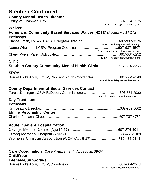# **Steuben Continued:**

**County Mental Health Director**

| E-mail: hankc@co.steuben.ny.us                                                                                         |
|------------------------------------------------------------------------------------------------------------------------|
| <b>Waiver</b><br>Home and Community Based Services Waiver (HCBS) (Access via SPOA)<br><b>Pathways</b>                  |
| E-mail: dsmith@pathwaysforyou.org                                                                                      |
| E-mail: nwhatman@pathwaysforyou.org<br>E-mail: cmyers@pathwaysforyou.org                                               |
| <b>Clinic</b><br>Steuben County Community Mental Health Clinic607-664-2255                                             |
| <b>SPOA</b><br>Bonnie Hicks-Tolly, LCSW, Child and Youth Coordinator607-664-2548<br>E-mail: bonnieh@co.steuben.ny.us   |
|                                                                                                                        |
| <b>County Department of Social Services Contact</b>                                                                    |
| E-mail: teresa.deninger@dfa.state.ny.us<br><b>Day Treatment</b><br><b>Pathways</b><br><b>Elmira Psychiatric Center</b> |
| <b>Acute Inpatient Hospitalization</b>                                                                                 |

**Care Coordination** (Case Management) (Access via SPOA) **Child/Youth Intensive/Supportive** Bonnie Hicks-Tolly, LCSW, Coordinator………………………..….…....…....607-664-2548

E-mail: [bonnieh@co.steuben.ny.us](mailto:bonnieh@co.steuben.ny.us)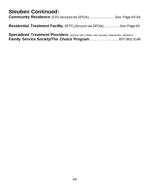# **Steuben Continued:**

|  | <b>Community Residence</b> (CR) (Access via SPOA)See Page 63-64   |
|--|-------------------------------------------------------------------|
|  | Residential Treatment Facility (RTF) (Access via SPOA)See Page 63 |

Specialized Treatment Providers (working with children with sexually inappropriate behaviors) **Family Service Society/The Choice Program**…...……….……..…607-962-3148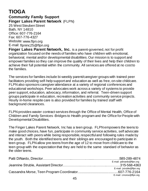# **TIOGA**

**Community Family Support Finger Lakes Parent Network** (FLPN) 25 West Steuben Street Bath, NY 14810

Office: 607-776-2164 Fax: 607-776-4327 Website: [www.flpn.org](http://www.flpn.org/) E-mail: [flpninc25@flpn.org](mailto:flpninc25@flpn.org)

**Finger Lakes Parent Network, Inc.** is a parent-governed, not for profit organization focused on the needs of families who have children with emotional, behavioral, mental and/or developmental disabilities. Our mission is to support and empower families so they can improve the quality of their lives and help their children to achieve their full potential within the community. All services are offered at no cost to the families.

The services for families include bi-weekly parent/caregiver groups with trained peer facilitators providing self-help support and education as well as free, on-site childcare. FLPN also sponsors caregiver attendance at a variety of regional conferences and educational workshops. Peer advocates work across a variety of systems to provide peer support, education, advocacy, information, and referral. Teen-driven support groups participate in education, recreation activities and community service projects. Hourly in-home respite care is also provided for families by trained staff with background clearances.

FLPN provides wavier contract services through the Office of Mental Health, Office of Children and Family Services -Bridges to Health program and the Office for People with Developmental Disabilities.

The Finger Lakes Parent Network, Inc has a teen group. FLPN empowers the teens to make good choices, have fun, participate in community service activities, self advocate and interact with peers while being responsible, respectful and following rules made by the youth. Both the identified teens and their siblings are encouraged to participate in teen group. FLPN allow pre-teens from the age of 12 to move from childcare to the teen group with the expectation that they are held to the same standard of behavior as the older teens.

| E-mail: pdinardo@flpn.org |
|---------------------------|
|                           |
| E-mail: jstruble@flpn.org |
|                           |
| E-mail: cmorse@flpn.org   |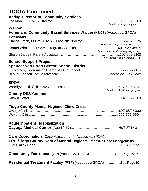# **TIOGA Continued:**

### **Acting Director of Community Services**

|  | $E$ moil: $\epsilon$ and $\epsilon$ and $\epsilon$ is $\epsilon$ and $\epsilon$ |
|--|---------------------------------------------------------------------------------|

E-mail: [monkl@co.tioga.ny.us](mailto:monkl@co.tioga.ny.us)

#### **Waiver**

### **Home and Community Based Services Waiver**(HBCS) (Access via SPOA) **Pathways**

| E-mail: dsmith@pathwaysforyou.org    |
|--------------------------------------|
|                                      |
| E-mail: nwhatman@pathwaysforyou.org  |
|                                      |
| E-mail: sbartlett@pathwaysforyou.org |

# **School Support Project**

# **Spencer Van Etton Central School District**

# **SPOA**

|  | E-mail: arnoldw@co.tioga.ny.us |
|--|--------------------------------|

### **County DSS Contact**

### **Tioga County Mental Hygiene Clinic/Crisis**

### **Acute Inpatient Hospitalization**

**Cayuga Medical Center** (Age 12-17)……………………….….……......607-274-4011

| <b>Care Coordination</b> (Case Management) (Access via SPOA)                |  |  |
|-----------------------------------------------------------------------------|--|--|
| <b>EPC /Tioga County Dept of Mental Hygiene</b> (Intensive Case Management) |  |  |
| <b>Community Residence</b> (CR) (Access via SPOA)See Page 63-64             |  |  |
| Residential Treatment Facility (RTF) (Access via SPOA)See Page 63           |  |  |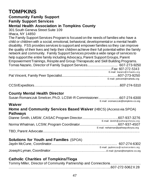# **TOMPKINS**

#### **Community Family Support Family Support Services Mental Health Association in Tompkins County**

301 South Geneva Street Suite 109

Ithaca, NY 14850

The Family Support Services Program is focused on the needs of families who have a child or children with a social, emotional, behavioral, developmental or a mental health disability. FSS provides services to support and empower families so they can improve the quality of their lives and help their children achieve their full potential within the family network and community. Family Support Services provide a wide range of services to help support the entire family including Advocacy, Parent Support Groups, Parent Empowerment Trainings, Respite and Group Therapeutic and Skill Building Programs. Tomas Nazario, Director of Family Support Services................................. 607-273-9250 …………………………………………………………....….……………..Fax: 607-272-5343 E-mail: [tnazari o@](mailto:tnazario@mhaedu.org) <sup>m</sup> haed u.org

Pat Vincent, Family Peer Specialist.............................................................607-273-9250 E-mail: pvincent@mahedu.org

CCSI/Expeditors………………………………………………………………….607-274-5310

### **County Mental Health Director**

Susan Romanczuk Smelcer, Ph.D. LCSW-R Commissioner.……...….…...607-274-6300 E-mail: [sromanczuk@tompkins-co.org](mailto:sromanczuk@tompkins-co.org)

#### **Waiver**

### **Home and Community Services Based Waiver** (HBCS) (Access via SPOA) **Pathways**

| E-mail: dsmith@pathwaysforyou.org   |
|-------------------------------------|
|                                     |
| E-mail: nwhatman@pathwaysforyou.org |
|                                     |

# **Solutions for Youth and Families** (SPOA)

| E-mail: jaydnmcss@rackercenters.org |
|-------------------------------------|
|                                     |

### **Catholic Charities of Tompkins/Tioga**

|  |  | Tommy Miller, Director of Community Partnership and Connections |
|--|--|-----------------------------------------------------------------|
|  |  |                                                                 |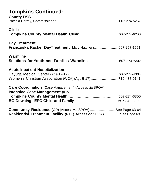# **Tompkins Continued:**

| <b>County DSS</b>                                                                                                                    |  |
|--------------------------------------------------------------------------------------------------------------------------------------|--|
| <b>Clinic</b>                                                                                                                        |  |
| <b>Day Treatment</b><br>Francziska Racker DayTreatment, Mary Hutchens607-257-1551                                                    |  |
| Warmline<br>Solutions for Youth and Families Warmline607-274-6302                                                                    |  |
| <b>Acute Inpatient Hospitalization</b><br>Women's Christian Association (WCA) (Age 5-17)716-487-0141                                 |  |
| <b>Care Coordination</b> (Case Management) (Access via SPOA)<br><b>Intensive Case Management (ICM)</b>                               |  |
|                                                                                                                                      |  |
| <b>Community Residence</b> (CR) (Access via SPOA)See Page 63-64<br>Residential Treatment Facility (RTF) (Access via SPOA)See Page 63 |  |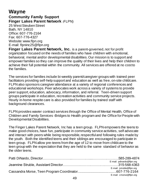# **Wayne**

# **Community Family Support Finger Lakes Parent Network** (FLPN)

25 West Steuben Street Bath, NY 14810 Office: 607-776-2164 Fax: 607-776-4327 Website: [www.flpn.org](http://www.flpn.org/) E-mail: [flpninc25@flpn.org](mailto:lpninc25@flpn.org)

**Finger Lakes Parent Network, Inc.** is a parent-governed, not for profit organization focused on the needs of families who have children with emotional, behavioral, mental and/or developmental disabilities. Our mission is to support and empower families so they can improve the quality of their lives and help their children to achieve their full potential within the community. All services are offered at no cost to the families.

The services for families include bi-weekly parent/caregiver groups with trained peer facilitators providing self-help support and education as well as free, on-site childcare. FLPN also sponsors caregiver attendance at a variety of regional conferences and educational workshops. Peer advocates work across a variety of systems to provide peer support, education, advocacy, information, and referral. Teen-driven support groups participate in education, recreation activities and community service projects. Hourly in-home respite care is also provided for families by trained staff with background clearances.

FLPN provides wavier contract services through the Office of Mental Health, Office of Children and Family Services -Bridges to Health program and the Office for People with Developmental Disabilities.

The Finger Lakes Parent Network, Inc has a teen group. FLPN empowers the teens to make good choices, have fun, participate in community service activities, self advocate and interact with peers while being responsible, respectful and following rules made by the youth. Both the identified teens and their siblings are encouraged to participate in teen group. FLPN allow pre-teens from the age of 12 to move from childcare to the teen group with the expectation that they are held to the same standard of behavior as the older teens.

| E-mail: pdinardo@flpn.org |
|---------------------------|
|                           |
| E-mail: jstruble@flpn.org |
|                           |
| E-mail: cmorse@flpn.org   |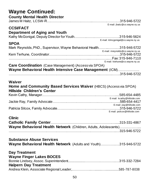# **Wayne Continued:**

| <b>County Mental Health Director</b>                                                                                                                          |
|---------------------------------------------------------------------------------------------------------------------------------------------------------------|
| E-mail: jhaitz@co.wayne.ny.us<br><b>CCSI/FACT</b><br>Department of Aging and Youth                                                                            |
| E-mail: klmcgonigal@co.wayne.ny.us<br><b>SPOA</b><br>Mark Reynolds, PhD., Supervisor, Wayne Behavioral Health315-946-5722<br>E-mail: mreynolds@co.wayne.ny.us |
| E-mail: ktehune@co.wayne.ny.us<br><b>Care Coordination</b> (Case Management) (Access via SPOA)                                                                |
| Wayne Behavioral Health Intensive Case Management (ICM)                                                                                                       |
| Waiver<br><b>Home and Community Based Services Waiver</b> (HBCS) (Access via SPOA)<br><b>Hillside Children's Center</b>                                       |
| E-mail: kcathy@hillside.com<br>E-mail: jray@hillside.com<br>E-mail: psilcox@hillside.com                                                                      |
| <b>Clinic</b><br>Wayne Behavioral Health Network (Children, Adults, Adolescents)                                                                              |
| <b>Substance Abuse Services</b><br><b>Wayne Behavioral Health Network</b> (Adults and Youth)315-946-5722                                                      |
| <b>Day Treatment</b><br><b>Wayne Finger Lakes BOCES</b><br><b>Halpern Day Treatment</b>                                                                       |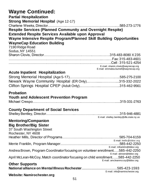#### **Wayne Continued: Partial Hospitalization**

| <b>Partial Hospitalization</b>                                       |  |
|----------------------------------------------------------------------|--|
| <b>Strong Memorial Hospital (Age 12-17)</b>                          |  |
|                                                                      |  |
| <b>Respite Services (Planned Community and Overnight Respite)</b>    |  |
| <b>Extended Respite Services Available upon Approval</b>             |  |
| Wayne Intensive Respite Program/Planned Skill Building Opportunities |  |
| <b>WayneCap Education Building</b>                                   |  |
| 7190 Ridge Road                                                      |  |

| Sodus, NY 14551 |                                      |
|-----------------|--------------------------------------|
|                 |                                      |
|                 |                                      |
|                 |                                      |
|                 | E-mail; sharon.clovis@waynecap.org   |
|                 | E-mail: emmalea.burnell@waynecap.org |

#### **Acute Inpatient Hospitalization**

| Newark Wayne Community Hospital (ER Only)315-332-2022 |  |
|-------------------------------------------------------|--|
|                                                       |  |

#### **Probation**

#### **Youth and Adolescent Prevention Program**

|--|--|

#### **County Department of Social Services**

| E-mail: shelley.bentley@dfa.state.ny.us |
|-----------------------------------------|

#### **Mentoring/Companion Big Brother/Big Sister**

| $-19$ $-10$ $-10$ $-19$ $-10$ $-10$<br>37 South Washington Street<br>Rochester, NY 4608 |                                |
|-----------------------------------------------------------------------------------------|--------------------------------|
|                                                                                         |                                |
|                                                                                         | E-mail: hmills@bbbsr.org       |
|                                                                                         |                                |
|                                                                                         | E-mail: mfranklin@bbbsr.org    |
| Andrea Brown, Program Coordinator focusing on volunteer enrollment585-442-2250          |                                |
|                                                                                         | E-mail: abrown@bbbsr.org       |
| April McLean-McCoy, Match coordinator focusing on child enrollment585-442-2250          |                                |
|                                                                                         | E-mail: amcleanmccoy@bbbsr.org |
| <b>Other Supports</b>                                                                   |                                |
|                                                                                         |                                |
|                                                                                         | E-mail: info@namirochester.org |

#### **Website: Namirochester.org**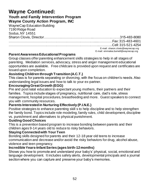# **Wayne Continued:**

#### **Youth and Family Intervention Program Wayne County Action Program, INC**

WayneCap Education Building 7190 Ridge Road Sodus, NY 14551

Sharon Clovis, Director……………………………………..…………….….….315-483-8080 ………………………………………………………………….....…………Fax: 315-483-4601 ……………………………………………………………………..………...Cell: 315-521-4254 E-mail[: sharon.clovis@waynecap.org](mailto:sharon.clovis@waynecap.org) E-mail: [emmalea.burnell@waynecap.org](mailto:emmalea.burnell@waynecap.org)

#### **Parent Awareness Educational Programs**

Group classes offer parenting enhancement skills strategies to help in all stages of parenting. Mediation services, advocacy, stress and anger management educational opportunities are available. Free childcare is provided upon request and certificates are issued upon completion.

#### **Assisting Children through Transition (A.C.T.)**

This class is for parents separating or divorcing, with the focus on children's needs. Also understanding legal issues and how to talk to your ex-partner.

#### **Encouraging Great Growth (EGG)**

Pre and post natal education to expectant young mothers, their partners and their families. Topics include stages of pregnancy, nutritional care, dad's role, stress management, hospital procedures, breastfeeding and more. Guest speakers to connect you with community resources.

#### **Parents Interested in Nurturing Effectively (P.I.N.E.)**

Positive strategies to enhance parenting skill s to help discipline and to help strengthen the family bond. Topics include role modeling, family rules, child development, discipline vs. punishment and alternatives to physical punishment.

#### **Guiding Good Choices**

This is a prevention based program to increase bonding between parents and their children ages 9-14 years old to reduce to risky behaviors.

#### **Staying Connected with Your Teen**

Bonding skills designed for parents and their 12-18 year old teens to increase communication and decrease and/or avoid the risky behaviors for drug, alcohol abuse, violence and teen pregnancy.

#### **Incredible Years-Infant Series (ages birth-12 months)**

Shows you how to promote and understand your baby's' physical, social, emotional and language development. It includes safety alerts, developmental principals and a journal section where you can capture and preserve your baby's memories.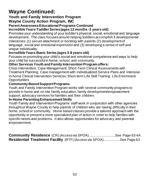# **Wayne Continued:**

# **Youth and Family Intervention Program**

### **Wayne County Action Program, INC**

# **Parent Awareness Educational Programs Continued**

#### **Incredible Years-Toddler Series (ages 12 months -3 years old)**

Promotes your understanding of your toddler's physical, social, emotional and language development. The class focuses around helping toddlers accomplish 3 developmental milestones: (1) secure attachment or bonding with parents (2) development of language, social and emotional expression and (3) developing a sense of self and unique individuality.

#### **Incredible Years-Basic Series (ages 3-8 years old)**

Focuses on promoting your child's social and emotional competence and ways to help your child be successful in home, school, and community.

#### **Other Services Youth and Family Intervention Program offers:**

Crisis Intervention; Case Management; Short-Term Clinical Assessments with Treatment Planning; Case management with Individualized Service Plans and Intensive In-home Clinical Intervention Services; Short-term Life Skill Training; Life Enrichment **Opportunities** 

#### **Community Based Support Programs**

Youth and Family Intervention Program works with several community programs to provide in home and on site family education, family development/empowerment support, advocacy services for families and their children.

#### **In-Home Parenting Enhancement Skills**

Youth Family and Intervention Programs' staff work in conjunction with other agencies throughout Wayne County to help parents of children who are having difficulty in their home, school or community. Home based classes provide a tailored approach with the opportunity to present a more specialized plan of action in order to help families with specific needs and problems. It also allows opportunities for advocacy and parental empowerment.

**Community Residence** (CR) (Access via SPOA)............................See Page 63-64 **Residential Treatment Facility** (RTF) (Access via SPOA)..................See Page 63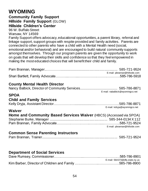# **WYOMING**

### **Community Family Support Hillside Family Support** (GLOW) **Hillside Children's Center**

96 W. Buffalo Street Warsaw, NY 14569

Family Support offers advocacy, educational opportunities, a parent library, referral and linkage support, support groups with respite provided and family activities. Parents are connected to other parents who have a child with a Mental Health need (social, emotional and/or behavioral) and are encouraged to build natural community supports amongst themselves. Through our program parents are given the opportunity to work on goals that will develop their skills and confidence so that they feel empowered in making the most educated choices that will benefit their child and family.

|                                                                            | E-mail: pbrannan@hillside.com   |
|----------------------------------------------------------------------------|---------------------------------|
| <b>County Mental Health Director</b>                                       | E-mail: nabalbick@wyomingco.net |
| <b>SPOA</b>                                                                |                                 |
| <b>Child and Family Services</b>                                           |                                 |
|                                                                            | E-mail: kdryja@wyomingco.net    |
| Waiver                                                                     |                                 |
| <b>Home and Community Based Services Waiver (HBCS) (Accessed via SPOA)</b> |                                 |
|                                                                            |                                 |
|                                                                            |                                 |
|                                                                            | E-mail: pbrannan@hillside.com   |
| <b>Common Sense Parenting Instructors</b>                                  |                                 |
| Dom Rronnon, Troinor                                                       | 685.701.0501                    |

# **Department of Social Services**

| E-mail: 56A373@dfa.state.ny.us |
|--------------------------------|
|                                |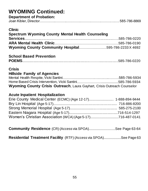# **WYOMING Continued:**

| <b>Department of Probation:</b> |  |
|---------------------------------|--|
|                                 |  |

#### **Clinic**

| Spectrum Wyoming County Mental Health Counseling     |  |
|------------------------------------------------------|--|
|                                                      |  |
|                                                      |  |
| Wyoming County Community Hospital595-786-2233 X 4692 |  |

# **School Based Prevention**

|--|--|

### **Crisis**

### **Hillside Family of Agencies**

| <b>Wyoming County Crisis Outreach, Laura Gayhart, Crisis Outreach Counselor</b> |  |
|---------------------------------------------------------------------------------|--|

### **Acute Inpatient Hospitalization**

**Community Residence** (CR) (Access via SPOA).............................See Page 63-64

**Residential Treatment Facility** (RTF) (Access via SPOA)...................See Page 63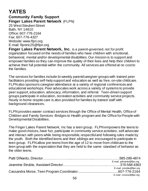# **YATES**

**Community Family Support Finger Lakes Parent Network** (FLPN) 25 West Steuben Street

Bath, NY 14810 Office: 607-776-2164 Fax: 607-776-4327 Website: [www.flpn.org](http://www.flpn.org/) E-mail: [flpninc25@flpn.org](mailto:flpninc25@flpn.org)

**Finger Lakes Parent Network, Inc.** is a parent-governed, not for profit organization focused on the needs of families who have children with emotional, behavioral, mental and/or developmental disabilities. Our mission is to support and empower families so they can improve the quality of their lives and help their children to achieve their full potential within the community. All services are offered at no cost to the families.

The services for families include bi-weekly parent/caregiver groups with trained peer facilitators providing self-help support and education as well as free, on-site childcare. FLPN also sponsors caregiver attendance at a variety of regional conferences and educational workshops. Peer advocates work across a variety of systems to provide peer support, education, advocacy, information, and referral. Teen-driven support groups participate in education, recreation activities and community service projects. Hourly in-home respite care is also provided for families by trained staff with background clearances.

FLPN provides wavier contract services through the Office of Mental Health, Office of Children and Family Services -Bridges to Health program and the Office for People with Developmental Disabilities.

The Finger Lakes Parent Network, Inc has a teen group. FLPN empowers the teens to make good choices, have fun, participate in community service activities, self advocate and interact with peers while being responsible, respectful and following rules made by the youth. Both the identified teens and their siblings are encouraged to participate in teen group. FLPN allow pre-teens from the age of 12 to move from childcare to the teen group with the expectation that they are held to the same standard of behavior as the older teens.

| E-mail: pdinardo@flpn.org |
|---------------------------|
|                           |
| E-mail: jstruble@flpn.org |
|                           |
| E-mail: cmorse@flpn.org   |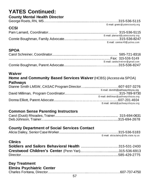# **YATES Continued:**

#### **County Mental Health Director**

|             | E-mail: groets@yatescounty.org   |
|-------------|----------------------------------|
| <b>CCSI</b> |                                  |
|             |                                  |
|             | E-mail: plarnard@yatescounty.org |
|             |                                  |
|             | E-mail: conniec49@yahoo.com      |

# **SPOA**

| E-mail: carolschreiner@gmail.com |
|----------------------------------|
|                                  |
|                                  |

### **Waiver**

#### **Home and Community Based Services Waiver**(HCBS) (Access via SPOA) **Pathways** Dianne Smith LMSW, CASAC Program Director…......................…………607-937-3276 E-mail: dsmith@pathwaysforyou.org David Milliman, Program Coordinator..……………....................……………315-789-9730 E-mail: [dmilli man](mailto:dmilliman@pathwaysforyou.org) @ path way s fory ou.org Donna Elliott, Parent Advocate....................……… ……… ……… …………..607-201-4604 E-mail: delliott@ [pa thway](mailto:delliott@pathwaysforyou.org) s fory ou.org

### **Common Sense Parenting Instructors**

### **County Department of Social Services Contact**

| E-mail: alicia.dailey@dfa.state.ny.us |
|---------------------------------------|

| <b>Clinics</b>                            |              |
|-------------------------------------------|--------------|
|                                           |              |
| $C$ rootused Children's Conter (Denn Van) | OAE EOC COAO |

# **Day Treatment**

### **Elmira Psychiatric Center**

|--|--|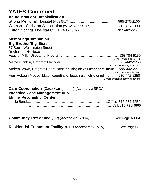# **YATES Continued:**

### **Acute Inpatient Hospitalization**

| Women's Christian Association (WCA) (Age 5-17)716-487-0141 |  |
|------------------------------------------------------------|--|
|                                                            |  |

#### **Mentoring/Companion Big Brother/Big Sister**

| 37 South Washington Street                                                     |                                |
|--------------------------------------------------------------------------------|--------------------------------|
| Rochester, NY 4608                                                             |                                |
|                                                                                |                                |
|                                                                                | E-mail: hmills@bbbsr.org       |
|                                                                                |                                |
|                                                                                | E-mail: mfranklin@bbbsr.org    |
| Andrea Brown, Program Coordinator focusing on volunteer enrollment585-442-2250 |                                |
|                                                                                | E-mail: abrown@bbbsr.org       |
| April McLean-McCoy, Match coordinator focusing on child enrollment585-442-2250 |                                |
|                                                                                | E-mail: amcleanmccoy@bbbsr.org |

#### **Care Coordination** (Case Management) (Access via SPOA) **Intensive Case Management** (ICM) **Elmira Psychiatric Center** Jamie Bond….…….….………………………..…………..........….….Office: 315-536-6536

……………………………………………………………..……Cell: 315-730-4965

**Community Residence** (CR) (Access via SPOA)............................See Page 63-64

**Residential Treatment Facility** (RTF) (Access via SPOA).................See Page 63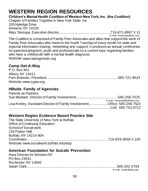# **WESTERN REGION RESOURCES**

**Children's Mental Health Coalition of Western New York, Inc. (the Coalition)** Chapter of Families Together in New York State, Inc 105 Hyledge Drive Amherst, NY 14226 Mary Skorupa, Executive director........................................................716-871-8997 X 11

 E-mail[: mtskorupa@aol.com](mailto:mtskorupa@aol.com) The Coalition is comprised of Family Peer Advocates and allies that support the work of Family Peer Advocates who meet on the fourth Tuesday of every month for state and regional information sharing, networking and support. It produces an annual conference, for parents/caregivers, youth and professionals on a current topic regarding families who have a child/youth with a mental health diagnosis. Website[: www.raisingminds.org](http://www.raisingminds.org/)

### **Camp Get-A-Way**

| P.O. Box 361          |  |
|-----------------------|--|
| Albion, NY 14411      |  |
|                       |  |
| Website: www.cgaw.org |  |

# **Hillside Family of Agencies**

| <b>Parents as Partners</b>                                                |                               |
|---------------------------------------------------------------------------|-------------------------------|
|                                                                           |                               |
|                                                                           | E-mail: smustard@hillside.com |
| Lisa Kinney, Assistant Director of Family InvolvementOffice: 585-256-7522 |                               |
|                                                                           |                               |
|                                                                           |                               |

### **Western Region Evidence Based Practice Site**

The State University of New York at Buffalo Office of Continuing Education School of Social work 232 Parker Hall Buffalo, NY 14214-804 Coordinator........................................................................................716-829-3939 X 155 Website[: www.socialwork.buffalo.edu/ebp](http://www.socialwork.buffalo.edu/ebp)

### **American Foundation for Suicide Prevention**

Area Director for Western NY PO Box 23041 Rochester, NY 14692 Sarah Clark.................................................................................................585-202-2783

E-mail: [sclark@afsp.org](mailto:sclark@afsp.org)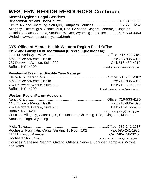### **Mental Hygiene Legal Services**

Binghamton, NY and Tioga County..............................................................607-240-5360 Elmira, NY and Chemung, Schuyler, Tompkins Counties............................607-271-9262 Allegany, Cattaraugus, Chautauqua, Erie, Genesee, Niagara, Monroe, Livingston, Ontario, Orleans, Seneca, Steuben, Wayne, Wyoming and Yates .............585-530-3050 Website: www.courts.state.ny.us/ad3/mhls

# **NYS Office of Mental Health Western Region Field Office**

#### **Child and Family Field Coordinator(Direct all Questions to):**

Jean M. Sadowy, LMSW...................................................................Office: 716-533-4181 NYS Office of Mental Health **Fax: 716-885-4096** 737 Delaware Avenue, Suite 200 Cell: 716-432-4219 Buffalo, NY 14209 E-mail: [jean.sadowy@omh.ny.gov](mailto:jean.sadowy@omh.ny.gov)

#### **Residential Treatment Facility Case Manager**

Elaine R. Anderson, MS,...................................................................Office: 716-533-4182 NYS Office of Mental Health **Fax: 716-885-4096** 737 Delaware Avenue, Suite 200 Cell: 716-689-1270 Buffalo, NY 14209 E-mail: [elaine.anderson@omh.ny.gov](mailto:elaine.anderson@omh.ny.gov)

#### **Western Region Parent Advisors**

Nancy Craig......................................................................................Office: 716-533-4180 NYS Office of Mental Health **Fax: 716-885-4096** 737 Delaware Avenue, Suite 200 Cell: 716-432-6238 Buffalo, NY 14209 E-mail: [nancy.craig@omh.ny.gov](mailto:nancy.craig@omh.ny.gov) Counties: Allegany, Cattaraugus, Chautauqua, Chemung, Erie, Livingston, Monroe, Steuben, Tioga, Wyoming

Micky Toker......................................................................................Office: 585-241-1937 Rochester Pyschiatric Center/Building 16 Room 102 Fax: 585-241-1981 1111 Elmwood Avenue Cell: 585-738-2015 Rochester, NY 14620 **E-mail: [michelle.toker@omh.ny.gov](mailto:michelle.toker@omh.ny.gov)** Counties: Genesee, Niagara, Ontario, Orleans, Seneca, Schuyler, Tompkins, Wayne and Yates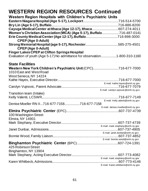| Cayuga Medical Center at Ithaca (Age 12-17), Ithaca607-274-4011<br>Women's Christian Association (WCA) (Age 5-17), Buffalo716-487-0141<br><b>CPEP (Age 0-Adult)</b><br><b>CPEP (Age 0-Adult)</b><br><b>Finger Lakes CPEP at Clifton Springs Hospital</b><br>Evaluation of youth (Age 5-17) No admittance for observation1-800-310-1160<br><b>State Facilities</b><br>Western New York Children's Psychiatric Unit (CPC)716-677-7000<br>1010 East and West Road<br>West Seneca, NY 14224<br>E-mail: kathe.hayes@omh.ny.gov<br>E-mail: carolyn.vujnovic@omh.ny.gov<br>Transition team (Intake)<br>E-mail: Kelly.valenti@omh.ny.gov<br>Denise Moeller RN II716-677-7158716-677-7158<br>E-mail: denise.moeller@omh.ny.gov<br>100 Washington Street<br><b>Elmira, NY 14901</b><br>E-mail: mark.stephany@omh.ny.gov<br>E-mail: janet.dunbar@omh.ny.gov |
|--------------------------------------------------------------------------------------------------------------------------------------------------------------------------------------------------------------------------------------------------------------------------------------------------------------------------------------------------------------------------------------------------------------------------------------------------------------------------------------------------------------------------------------------------------------------------------------------------------------------------------------------------------------------------------------------------------------------------------------------------------------------------------------------------------------------------------------------------|
|                                                                                                                                                                                                                                                                                                                                                                                                                                                                                                                                                                                                                                                                                                                                                                                                                                                  |
|                                                                                                                                                                                                                                                                                                                                                                                                                                                                                                                                                                                                                                                                                                                                                                                                                                                  |
|                                                                                                                                                                                                                                                                                                                                                                                                                                                                                                                                                                                                                                                                                                                                                                                                                                                  |
|                                                                                                                                                                                                                                                                                                                                                                                                                                                                                                                                                                                                                                                                                                                                                                                                                                                  |
|                                                                                                                                                                                                                                                                                                                                                                                                                                                                                                                                                                                                                                                                                                                                                                                                                                                  |
|                                                                                                                                                                                                                                                                                                                                                                                                                                                                                                                                                                                                                                                                                                                                                                                                                                                  |
|                                                                                                                                                                                                                                                                                                                                                                                                                                                                                                                                                                                                                                                                                                                                                                                                                                                  |
|                                                                                                                                                                                                                                                                                                                                                                                                                                                                                                                                                                                                                                                                                                                                                                                                                                                  |
|                                                                                                                                                                                                                                                                                                                                                                                                                                                                                                                                                                                                                                                                                                                                                                                                                                                  |
|                                                                                                                                                                                                                                                                                                                                                                                                                                                                                                                                                                                                                                                                                                                                                                                                                                                  |
|                                                                                                                                                                                                                                                                                                                                                                                                                                                                                                                                                                                                                                                                                                                                                                                                                                                  |
|                                                                                                                                                                                                                                                                                                                                                                                                                                                                                                                                                                                                                                                                                                                                                                                                                                                  |
|                                                                                                                                                                                                                                                                                                                                                                                                                                                                                                                                                                                                                                                                                                                                                                                                                                                  |
|                                                                                                                                                                                                                                                                                                                                                                                                                                                                                                                                                                                                                                                                                                                                                                                                                                                  |
|                                                                                                                                                                                                                                                                                                                                                                                                                                                                                                                                                                                                                                                                                                                                                                                                                                                  |
|                                                                                                                                                                                                                                                                                                                                                                                                                                                                                                                                                                                                                                                                                                                                                                                                                                                  |
|                                                                                                                                                                                                                                                                                                                                                                                                                                                                                                                                                                                                                                                                                                                                                                                                                                                  |
|                                                                                                                                                                                                                                                                                                                                                                                                                                                                                                                                                                                                                                                                                                                                                                                                                                                  |
|                                                                                                                                                                                                                                                                                                                                                                                                                                                                                                                                                                                                                                                                                                                                                                                                                                                  |
|                                                                                                                                                                                                                                                                                                                                                                                                                                                                                                                                                                                                                                                                                                                                                                                                                                                  |
|                                                                                                                                                                                                                                                                                                                                                                                                                                                                                                                                                                                                                                                                                                                                                                                                                                                  |
|                                                                                                                                                                                                                                                                                                                                                                                                                                                                                                                                                                                                                                                                                                                                                                                                                                                  |
|                                                                                                                                                                                                                                                                                                                                                                                                                                                                                                                                                                                                                                                                                                                                                                                                                                                  |
|                                                                                                                                                                                                                                                                                                                                                                                                                                                                                                                                                                                                                                                                                                                                                                                                                                                  |
|                                                                                                                                                                                                                                                                                                                                                                                                                                                                                                                                                                                                                                                                                                                                                                                                                                                  |
|                                                                                                                                                                                                                                                                                                                                                                                                                                                                                                                                                                                                                                                                                                                                                                                                                                                  |
|                                                                                                                                                                                                                                                                                                                                                                                                                                                                                                                                                                                                                                                                                                                                                                                                                                                  |
|                                                                                                                                                                                                                                                                                                                                                                                                                                                                                                                                                                                                                                                                                                                                                                                                                                                  |
|                                                                                                                                                                                                                                                                                                                                                                                                                                                                                                                                                                                                                                                                                                                                                                                                                                                  |
|                                                                                                                                                                                                                                                                                                                                                                                                                                                                                                                                                                                                                                                                                                                                                                                                                                                  |
| E-mail: bonnie.wood@omh.ny.gov                                                                                                                                                                                                                                                                                                                                                                                                                                                                                                                                                                                                                                                                                                                                                                                                                   |
|                                                                                                                                                                                                                                                                                                                                                                                                                                                                                                                                                                                                                                                                                                                                                                                                                                                  |
| 425 Robinson Street                                                                                                                                                                                                                                                                                                                                                                                                                                                                                                                                                                                                                                                                                                                                                                                                                              |
| Binghamton, NY 13904                                                                                                                                                                                                                                                                                                                                                                                                                                                                                                                                                                                                                                                                                                                                                                                                                             |
|                                                                                                                                                                                                                                                                                                                                                                                                                                                                                                                                                                                                                                                                                                                                                                                                                                                  |
| E-mail: mark.stephany@omh.ny.gov                                                                                                                                                                                                                                                                                                                                                                                                                                                                                                                                                                                                                                                                                                                                                                                                                 |
| E-mail: Karen.whitbeck@omh.ny.gov                                                                                                                                                                                                                                                                                                                                                                                                                                                                                                                                                                                                                                                                                                                                                                                                                |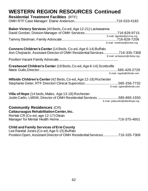# **WESTERN REGION RESOURCES Continued Residential Treatment Facilities** (RTF) OMH RTF Case Manager: Elaine Anderson..............................................716-533-4182 **Baker Victory Services** (40 Beds, Co-ed, Age 12-21) Lackawanna David Gordan, Division Manager of OMH Services....................................716-828-9715 E-mail: [dgordan@olv-bvs.org](mailto:dgordan@olv-bvs.org) Tammy Stedman, Family Advocate............................................................716-828-7206 E-mail: [tstedman@olv-bvs.org](mailto:tstedman@olv-bvs.org) **Conners Children's Center** (14 Beds, Co-ed, Age 6-14) Buffalo Ann Chojnacki, Assistant Director of OMH Residential Services.................716-335-7308 E-mail: [achojnacki@cfsbny.org](mailto:achojnacki@cfsbny.org) Position Vacant Family Advocate................................................................ **Crestwood Children's Center** (18 Beds, Co-ed, Age 6-14) Scottsville Marie Gullo,Director.....................................................................................585-429-2729 E-mail: mgullo@hillside.com **Hillside Children's Center**(42 Beds, Co-ed, Age 12-18) Rochester Stephanie Geter, RTF Director/ Clinical Supervisor.....................................585-256-7732 E-mail[: sgeter@hillside.com](mailto:sgeter@hillside.com) **Villa of Hope** (14 beds, Males, Age 13-18) Rochester Jodie Carlin, LMSW, Director of OMH Residential Services .......................585-865-1550 E-mail: [jodiecarlin@villaofhope.org](mailto:jodiecarlin@villaofhope.org)  **Community Residences** (CR) **Cattauraugus Rehabilitation Center, Inc.** ReHab CR (Co-ed, age 12-17) Olean Manager for Mental Health Home................................................................716-375-4601 **Child and Family Services of Erie County**

Lee Randal Jones (Co-ed, Age 5-15) Buffalo Position Open, Assistant Director of OMH Residential Services.................716-335-7308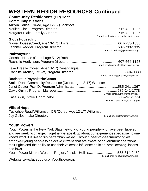| <b>WESTERN REGION RESOURCES Continued</b>                 |                                       |
|-----------------------------------------------------------|---------------------------------------|
| <b>Community Residences (CR) Cont.</b>                    |                                       |
| <b>Community Missions</b>                                 |                                       |
| Aurora House (Co-ed, Age 12-17) Lockport                  |                                       |
|                                                           |                                       |
|                                                           | E-mail: mclark@communitymissions.org  |
| <b>Glove House, Inc.</b>                                  |                                       |
|                                                           |                                       |
|                                                           |                                       |
| Pathways Inc.                                             | E-mail: jredder@glovehouse.org        |
| Conable House (Co-ed, age 5-12) Bath                      |                                       |
|                                                           |                                       |
| Lake Breeze (Co-ed, Age 13-17) Canandaigua                | E-mail: rhodkinson@pathwaysforyou.org |
|                                                           |                                       |
|                                                           | E-mail: farcher@pathwaysforyou.org    |
| <b>Rochester Psychiatric Center</b>                       |                                       |
| Smith Road Community Residence (Co-ed, age 12-17) Webster |                                       |
|                                                           |                                       |
|                                                           | E-mail: david.quinn@omh.ny.gov        |
|                                                           |                                       |
|                                                           | E-mail: Katie.Akin@omh.ny.gov         |

#### **Villa of Hope**

Tuckahoe Road/Williamson CR (Co-ed, Age 13-17) Williamson Jay Gullo, Intake Director: E-mail: [jay.gullo@villaofhope.org](mailto:jay.gullo@villaofhope.org)

### **Youth Power!**

Youth Power! is the New York State network of young people who have been labeled and are seeking change. Together we speak up about our experiences because no one knows what it is like for us better than we do. Through peer-to-peer mentoring we empower young people to be active citizens that are aware of government operations, their rights and the ability to use their voices to influence policies, practices regulations and laws.

Youth Power Mentor Western Region, Jessica Hollins...............................585-314-2452 E-mail: jhollins@youthpowerny.org

Website[: www.facebook.com/youthpower.ny](http://www.facebook.com/youthpower.ny)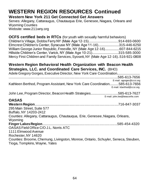#### **Western New York 211 Get Connected Get Answers**

Serves: Allegany, Cattaraugus, Chautauqua Erie, Genesee,Niagara, Orleans and Wyoming Counties Website: [www.211wny.org](http://www.211wny.org/)

#### **OCFS certified beds in RTCs** (for youth with sexually harmful behaviors) Children's Village, Dobbs Ferry NY (Male Age 12-15).................................914-693-0600 Elmcrest Children's Center, Syracuse NY (Male Age 11-16).......................315-446-6250 William George Junior Republic, Freeville, NY (Male Age 12-16)................607-844-6215 Hillside Children's Center, Varick, NY (Male Age 10-21).............................315-585-3000 Mercy First Children and Family Services, Syosett, NY (Male Age 12-16)..516-921-0808

### **Western Region Behavioral Health Organization with Beacon Health Strategies, LLC. and Coordinated Care Services, INC.** (BHO)

| Adele Gregory Gorges, Executive Director, New York Care Coordination                                                |
|---------------------------------------------------------------------------------------------------------------------|
| 585-613-7656                                                                                                        |
| E-mail: agorges@ccsi.org                                                                                            |
| Kathleen Berthod, Program Assistant, New York Care Coordination585-613-7656<br>E-mail: kberthod@ccsi.org            |
| John Lee, Program Director, Beacon Health Strategies585-613-7627<br>E-mail: john.lee@beaconhs.com                   |
| <b>OASAS</b>                                                                                                        |
| <b>Western Region.</b><br>.716-847-3037                                                                             |
| 295 Main Street, Suite 577                                                                                          |
| Buffalo, NY 14203-2412                                                                                              |
| Counties: Allegany, Cattaraugus, Chautauqua, Erie, Genesee, Niagara, Orleans,<br>Wyoming                            |
|                                                                                                                     |
| OASAS Field Office C/O J.L. Norris ATC                                                                              |
| 1111 Elmwood Avenue                                                                                                 |
| Rochester, NY 14620                                                                                                 |
| Counties: Broome, Chemung, Livingston, Monroe, Ontario, Schuyler, Seneca, Steuben,<br>Tioga, Tompkins, Wayne, Yates |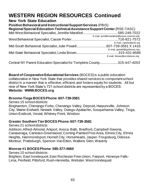#### **New York State Education Positive Behavioral and Instructional Support Services** (PBIS) **Regional Special Education-Technical Assistance Support Center**(RSE-TASC) Mid-West Behavioral Specialist, Jennifer Marafioti......................................585-249-7022 E-mail: jennifermarafioti@boces.monroe.edu West Behavioral Specialist, Cassie Porter...................................................716-821-7572 E-mail: cporter@e1b.org Mid-South Behavioral Specialist, Julie Powell.................................607-739-3581 X 1416 E-mail: [jpowell@gstboces.org](mailto:jpowell@gstboces.org) Mid-State Behavioral Specialist, Linda Brown..............................................315-431-8586 E-mail: [lbrown@ocmboces.org](mailto:lbrown@ocmboces.org)

Central NY Parent Education Specialist for Tompkins County....................315-447-4053

**Board of Cooperative Educational Services** (BOCES) is a public education collaborative in New York State that provides shared services to component school district in a manner that is effective, efficient, and fosters equity for students. All but nine of New York State's 721 school districts are represented by a BOCES. **Website: WWW.BOCES.org**

#### **[Broome-Tioga BOCES](http://www.btboces.org/)Phone: 607-739-3581**

Serves [15 s](http://ces.37j32b1.remote.schoolcenter.com/education/components/scrapbook/default.php?sectiondetailid=1060)chool districts:

Binghamton, Chenango Forks, Chenango Valley, Deposit, Harpursville, Johnson City, Maine-Endwell, Newark Valley, Owego-Apalachin, Susquehanna Valley, Tioga, Union-Endicott, Vestal, Whitney Point, Windsor

#### **Greater Southern Tier BOCES Phone: 607-739-3581**

Serves 21 school districts:

Addison, Alfred-Almond, Arkport, Avoca, Bath, Bradford, Campbell-Savona, Canaseraga, Canisteo-Greenwood, Corning-Painted Post Area, Elmira City, Elmira Heights, Hammondsport, Hornell City, Horseheads, Jasper-Troupsburg, Odessa-Montour, Prattsburgh, Spencer-Van Etten, Watkins Glen, Waverly

#### **Monroe #1 BOCES Phone: 585-377-4660**

Serves 10 school districts:

Brighton, East Irondequoit, East Rochester Free Union, Fairport, Honeoye Falls-Lima, Penfield, Pittsford, Rush-Henrietta, Webster, West Irondequoit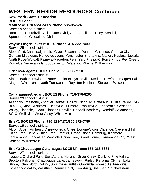#### **New York State Education BOCES Cont.:**

**Monroe #2 Orleans Boces Phone: 585-352-2400**

Serves 9 school districts: Brockport, Churchville-Chili, Gates Chili, Greece, Hilton, Holley, Kendall, Spencerport, Wheatland-Chili

#### **Wayne-Finger Lakes BOCES Phone: 315-332-7400**

Serves 25 school districts:

Bloomfield, Canandaigua city, Clyde-Savannah, Dundee, Gananda, Geneva City, Gorham-Middlesex, Honeoye, Lyons, Manchester-Shortsville, Marion, Naples, Newark, North Rose-Wolcott, Palmyra-Macedon, Penn Yan, Phelps-Clifton Springs, Red Creek, Romulus, Seneca Falls, Sodus, Victor, Waterloo, Wayne, Williamson

#### **Orleans-Niagara BOCES Phone: 800-836-7510**

Serves 13 school districts:

Albion, Barker, Lewiston-Porter, Lockport, Lyndonville, Medina, Newfane, Niagara Falls, Niagara-Wheatland, North Tonawanda, Royalton-Hartland, Starpoint, Wilson

### **Cattaraugus-Allegany BOCES Phone: 716-376-8200**

Serves 23 school districts:

Allegany-Limestone, Andover, Belfast, Bolivar-Richburg, Cattaraugus Little Valley, CA-BOCES, Cuba-Rushford, Ellicottville, Fillmore, Franklinville, Friendship, Genesee Valley, Hinsdale, Olean, Pioneer, Portville, Randolf Academy, Randolf, Salamanca, SCIO, Wellsville, West Valley, Whitesville

### **Erie #1 BOCES Phone: 716-821-7171/800-872-0780**

Serves 19 school districts:

Akron, Alden, Amherst, Cheektowaga, Cheektowaga-Sloan, Clarence, Cleveland Hill Union Free, Depew Union Free, Frontier, Grand Island, Hamburg, Kenmore, Lackawanna, Lancaster, Maryvale Union Free, Sweet Home, Tonawanda City, West Seneca, Williamsville

#### **Erie #2 Chautauqua-Cattaraugus BOCES Phone: 585-268-5681**

Serves 27 school districts:

Iroquois, Orchard Park, East Aurora, Holland, Silver Creek, Dunkirk, Pine Valley, Brocton, Falconer, Chautauqua Lake, Jamestown, Ripley, Panama, Clymer, Lake Shore, Eden, North Collins, Springville-Griffith, Gowanda, Forestville, Fredonia, Cassadaga Valley, Westfield, Bemus Point, Frewsburg, Sherman, Southwestern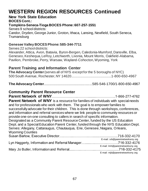#### **New York State Education BOCES Cont.:**

### **Tompkins-Seneca-Tioga BOCES Phone: 607-257-1551**

Serves 9 school districts:

Candor, Dryden, George Junior, Groton, Ithaca, Lansing, Newfield, South Seneca, **Trumansburg** 

#### **Genesee Valley BOCES Phone: 585-344-7711**

Serves 22 school districts:

Alexander, Attica, Avon, Batavia, Byron-Bergen, Caledonia-Mumford, Dansville, Elba, Geneseo, Keshequa, LeRoy, Letchworth, Livonia, Mount Morris, Oakfield-Alabama, Pavilion, Pembroke, Perry, Warsaw, Wayland-Cohocton, Wyoming, York

# **Parent Training and Information Center**

| <b>The Advocacy Center</b> (serves all of NYS except for the 5 boroughs of NYC) |  |
|---------------------------------------------------------------------------------|--|
|                                                                                 |  |

**The Advocacy Center**.....................................................585-546-1700/1-800-650-4967

### **Community Parent Resource Center**

**Parent Network of WNY**…………………..……….........……………..1-866-277-4762

**Parent Network of WNY** is a resource for families of individuals with special needs and for professionals who work with them. The goal is to empower families to successfully advocate for their children. This is done through workshops, conferences, and information and referral services where we link people to community resources or provide one-on-one consulting to callers in search of specific information. Designated as a Community Parent Resource Center, funded by the US Education Dept. and a Special Education Parent Center, funded through the NYS Education Dept. Serves: Allegany, Cattaraugus, Chautauqua, Erie, Genesee, Niagara, Orleans, Wyoming Counties Susan Barlow, Executive Director….……...…………..…............................716-332-4170 E-mail: [srb@parentnetworkwny.org](mailto:srb@parentnetworkwny.org) Lyn Haggerty, Information and Referral Manager…......….………..……….716-332-4176 E-mail: lmh@parentnetworkwny.org

Mary Jo Butler, Information and Referral......…...….……....….…….............716-332-4175 ermail: mision and the condition of the mail: [mjb@parentnetworkwny.org](mailto:mjb@parentnetworkwny.org).<br>E-mail: mjb@parentnetworkwny.org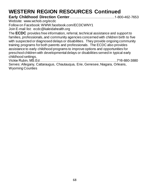| Website: www.wchob.org/ecdc                                                           |
|---------------------------------------------------------------------------------------|
| Follow on Facebook: WWW.facebook.com/ECDCWNY1                                         |
| Join E-mail list: ecdc@kaleidahealth.org                                              |
| The ECDC provides free information, referral, technical assistance and support to     |
| families, professionals, and community agencies concerned with children birth to five |
| with suspected or diagnosed delays or disabilities. They provide ongoing community    |
| training programs for both parents and professionals. The ECDC also provides          |
| assistance to early childhood programs to improve options and opportunities for       |
| preschool children with developmental delays or disabilities served in typical early  |
| childhood settings.                                                                   |
|                                                                                       |
| Serves: Allegany, Cattaraugus, Chautauqua, Erie, Genesee, Niagara, Orleans,           |

Serves: Allegarly, C<br>Wyoming Counties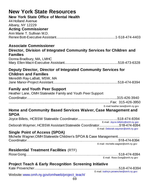| <b>New York State Resources</b>                                                         |                                       |
|-----------------------------------------------------------------------------------------|---------------------------------------|
| <b>New York State Office of Mental Health</b>                                           |                                       |
| 44 Holland Avenue                                                                       |                                       |
| Albany, NY 12229                                                                        |                                       |
| <b>Acting Commissioner</b><br>Ann Marie T. Sullivan M.D.                                |                                       |
|                                                                                         |                                       |
|                                                                                         |                                       |
| <b>Associate Commissioner</b>                                                           |                                       |
| Director, Division of Integrated Community Services for Children and<br><b>Families</b> |                                       |
| Donna Bradbury, MA, LMHC                                                                |                                       |
|                                                                                         |                                       |
| Deputy Director, Director of Integrated Community Services for                          |                                       |
| <b>Children and Families</b>                                                            |                                       |
| Meredith Ray-LaBatt, MSW, MA                                                            |                                       |
|                                                                                         |                                       |
| <b>Family and Youth Peer Support</b>                                                    |                                       |
| Heather Lane, OMH Statewide Family and Youth Peer Support                               |                                       |
|                                                                                         |                                       |
|                                                                                         | E-mail:heather.lane@omh.ny.gov        |
| Home and Community Based Services Waiver, Case Management and                           |                                       |
| <b>SPOA</b>                                                                             |                                       |
|                                                                                         |                                       |
| Deborah Waymer, HCBSW Assistant Statewide Coordinator518-474-8394                       | E-mail: Joyce.billetts@omh.ny.gov     |
|                                                                                         | E-mail: Deborah.waymer@omh.ny.gov     |
| <b>Single Point of Access (SPOA)</b>                                                    |                                       |
| Michelle Wagner, OMH Statewide Children's SPOA & Case Management                        |                                       |
|                                                                                         | E-mail: michelle.wagner@omh.ny.gov    |
| <b>Residential Treatment Facilities (RTF)</b>                                           |                                       |
|                                                                                         |                                       |
|                                                                                         | E-mail: Rose.Gong@omh.ny.gov          |
| <b>Project Teach &amp; Early Recognition Screening Initiative</b>                       |                                       |
|                                                                                         | E-mail: kathryn.provencher@omh.ny.gov |
| Website: www.omh.ny.gov/omhweb/project_teach/                                           |                                       |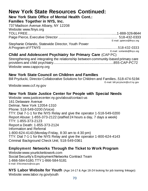# **New York State Resources Continued:**

**New York State Office of Mental Health Cont.: Families Together in NYS, Inc.**

| TAMMUS TOGGUIGI III ITTO, ING.                                                      |                            |
|-------------------------------------------------------------------------------------|----------------------------|
| 737 Madison Avenue Albany, NY 12208                                                 |                            |
| Website: www.ftnys.org                                                              |                            |
|                                                                                     |                            |
|                                                                                     |                            |
|                                                                                     | E-mail: ppierce@ftnys.org  |
| Stephanie Orlando, Statewide Director, Youth Power                                  |                            |
|                                                                                     |                            |
|                                                                                     | E-mail: sorlando@ftnys.org |
| <b>Child and Adolescent Psychiatry for Primary Care (CAP PC)</b>                    |                            |
| Strengthening and integrating the relationship between community-based primary care |                            |

providers and child psychiatry.................................................................855-CAP-PC72 Website[:www.cappcny.org](http://www.cappcny.org/)

# **New York State Council on Children and Families**

Bill Pryzlucki, Director Collaborative Solutions for Children and Families..518-474-5194

E-mail: bil[l.przylucki@ccf.ny.gov](mailto:przylucki@ccf.ny.gov)

Website:www.ccf.ny.gov

### **New York State Justice Center for People with Special Needs**

Website[: www.justicecenter.ny.gov/about/contact-us](http://www.justicecenter.ny.gov/about/contact-us) 161 Delaware Avenue Delmar, New York 12054-1310 Phone: 518-549-0200 (Voice) TTY: Dial 7-1-1 for the NYS Relay and give the operator 1-518-549-0200 Report Abuse: 1-855-373-2122 (staffed 24 hours a day, 7 days a week) TTY: 1-855-373-2123 Report a Death: 1-855-373-2124 Information and Referral 1-800-624-4143 (Monday-Friday, 8:30 am to 4:30 pm) TTY: Dial 7-1-1 for the NYS Relay and give the operator 1-800-624-4143 Criminal Background Check Unit; 518-549-0361

### **Employment Networks Through the Ticket to Work Program**

Website:www.yourtickettowork.com Social Security's Employment Networks Contract Team 1-866-584-5180, TTY 1-866-584-5181 E-mail: ENcontacts@ssa.gov.

**NYS Labor Website for Youth** (Age 14-17 & Age 18-24 looking for job training linkage)**:**  Website: www.labor.ny.gov/youth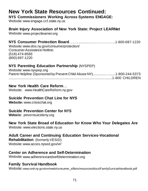# **New York State Resources Continued:**

#### **NYS Commissioners Working Across Systems ENGAGE:**

Website: [www.engage.ccf.state.ny.us](http://www.engage.ccf.state.ny.us/)

### **Brain Injury Association of New York State: Project LEARNet**

Website[: www.projectlearnet.org](http://www.projectlearnet.org/)

# **NYS Consumer Protection Board**……….................…….………..1-800-697-1220

Website: www.dos.ny.gov/consumerprotection/ Consumer Assistance Hotline: (518) 474-8583 (800) 697-1220

### **NYS Parenting Education Partnership** (NYSPEP)

Website[: www.nyspep.org](http://www.nyspep.org/) Parent Helpline (Sponsored by Prevent Child Abuse NY)..............….......1-800-244-5373 ...............................................................................................................1-800 CHILDREN

#### **New York Health Care Reform**…

Website: www.HealthCareReform.ny.gov

### **Suicide Prevention Chat Line for NYS**

**Website:** [www.crisischat.org](http://www.crisischat.org/)

### **Suicide Prevention Center for NYS**

**Website:** preventsuicideny.org

### **New York State Broad of Education for Know Who Your Delegates Are**

Website: www.elections.state.ny.us

### **Adult Career and Continuing Education Services-Vocational**

**Rehabilitation** (formerly VESID) Website: www.acces.nysed.gov/vr/

### **Center on Adherence and Self-Determination**

Website: [www.adherenceandselfdetermination.org](http://www.adherenceandselfdetermination.org/)

### **Family Survival Handbook**

Website: [www.omh.ny.gov/omhweb/consumer\\_affairs/resources/docs/FamilySurvivalHandbook.pdf](http://www.omh.ny.gov/omhweb/consumer_affairs/resources/docs/FamilySurvivalHandbook.pdf)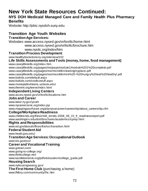# **New York State Resources Continued:**

### **NYS DOH Medicaid Managed Care and Family Health Plus Pharmacy Benefits**

Website[: http://pbic.nysdoh.suny.edu.](http://pbic.nysdoh.suny.edu/)

# **Transition Age Youth Websites**

#### **Transition Age Services:**

Websites[: www.access.nysed.gov/vr/lsn/ilc/home.html](http://www.access.nysed.gov/vr/lsn/ilc/home.html) www.access.nysed.gov/vr/lis/ilc/brochure.htm [www.nysilc.org/index/htm](http://www.nysilc.org/index/htm)

#### **Transition Process Development**

www.healthytransitionsny.org/site/view/152

#### **Life Skills Assessments and Tools (money, home, food management)**

[www.caseylifeskills.org/index.htm](http://www.caseylifeskills.org/index.htm)

[www.caseylifeskills.org/pages/res/paya/module1/module%201%20complete.pdf](http://www.caseylifeskills.org/pages/res/paya/module1/module%201%20complete.pdf) [www.caseylifeskills.org/pages/res/microlife/cleaningmyplace.pdf](http://www.caseylifeskills.org/pages/res/microlife/cleaningmyplace.pdf) [www.caseylifeskills.org/pages/res/microlife/mini%20-%20hungry%20eat%20healthy!.pdf](http://www.caseylifeskills.org/pages/res/microlife/mini%20-%20hungry%20eat%20healthy!.pdf) [www.bizkids.com/default.aspx](http://www.bizkids.com/default.aspx) [www.bizkids.com/coolbizstuff.aspx](http://www.bizkids.com/coolbizstuff.aspx) [www.moneytalks4teens.ucdavis.edu/](http://www.moneytalks4teens.ucdavis.edu/)

[www.themint.org/teens/index.html](http://www.themint.org/teens/index.html)

#### **Independent Living Centers**

[www.acces.nysed.gov/vr/lsn/ilc/locations.htm](http://www.acces.nysed.gov/vr/lsn/ilc/locations.htm)

#### **Jobs and Career**

www.labor.ny.gov/youth [www.nycareerzone.org/index.jsp](http://www.nycareerzone.org/index.jsp) [www.mappingyourfuture.org/planyourcareer/careership/about\\_careership.cfm](http://www.mappingyourfuture.org/planyourcareer/careership/about_careership.cfm)

#### **College/Workplace Readiness**

[www.childtrends.org/files/child\\_trends-2008\\_09\\_15\\_fr\\_readinessreport.pdf](http://www.childtrends.org/files/child_trends-2008_09_15_fr_readinessreport.pdf) [www.washington.edu/doit/brochures/academics/cprep.html](http://www.washington.edu/doit/brochures/academics/cprep.html)

#### **Rights and Responsibilities**

[www.ed.gov/about/offices/list/ocr/transition.html](http://www.ed.gov/about/offices/list/ocr/transition.html)

#### **Federal Student Aid**

www.heath.gwu.edu/

#### **Transition Age Services:Occupational Outlook**

[www.bis.gov/oco/](http://www.bis.gov/oco/)

### **Career and Vocational Training**

[www.gotrain.com/](http://www.gotrain.com/)

[www.going-to-college.org/](http://www.going-to-college.org/)

[www.thinkcollege.net/](http://www.thinkcollege.net/)

www.tucollaborative.org/pdfs/education/college\_guide.pdf

#### **Housing Search**

[www.nyhousingsearcg.gov/](http://www.nyhousingsearcg.gov/)

**The First Home Club** (purchasing a home)

[www.fhlbny.com/community/fhc.htm](http://www.fhlbny.com/community/fhc.htm)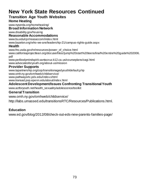## **New York State Resources Continued**

## **Transition Age Youth Websites**

#### **Home Heating**

www.nyserda.org/homeheating/

**Broad Information Network**

[www.disability.gov/housing](http://www.disability.gov/housing)

#### **Reasonable Accommodations**

[www.bu.edu/cpr/reasaccom/index.html](http://www.bu.edu/cpr/reasaccom/index.html)

www.bazelon.org/who-we-are/leadership-21/campus-rights-guide.aspx

#### **Health**

www.fns.usda.gov/tn/resources/power\_of\_choice.html [www.californiaprojectlean.org/docuserfiles//jump%20start%20teensfinal%20entire%20guide%202006.](http://www.californiaprojectlean.org/docuserfiles/jump%20start%20teensfinal%20entire%20guide%202006.pdf) [pdf](http://www.californiaprojectlean.org/docuserfiles/jump%20start%20teensfinal%20entire%20guide%202006.pdf)

[www.pe4bodymindspirit.santacruz.k12.ca.us/courseplans/cagi.html](http://www.pe4bodymindspirit.santacruz.k12.ca.us/courseplans/cagi.html) [www.advocatesforyouth.org/about-us/mission](http://www.advocatesforyouth.org/about-us/mission)

#### **Provider Supports**

[www.tapartnership.org/cop/transitionagedyouth/default.php](http://www.tapartnership.org/cop/transitionagedyouth/default.php) [www.omh.ny.gov/omhweb/childservice/](http://www.omh.ny.gov/omhweb/childservice/) [www.pathwaysrtc.pdx.edu/index.shtml](http://www.pathwaysrtc.pdx.edu/index.shtml) [www.transad.pop.epenn.edu/about/index.html](http://www.transad.pop.epenn.edu/about/index.html)

#### **Adolescent Development/Issues Confronting Transitional Youth**

[www.actforyouth.net/health\\_sexuality/adolescence/toolkit](http://www.actforyouth.net/health_sexuality/adolescence/toolkit)

#### **General Transition**

[www.omh.ny.gov/omhweb/childservice/](http://www.omh.ny.gov/omhweb/childservice/)

http://labs.umassed.edu/transitionsRTC/Resources/Publications.html.

### **Education**

www.ed.gov/blog/2012/08/check-out-eds-new-parents-families-page/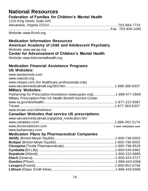| <b>National Resources</b><br><b>Federation of Families for Children's Mental Health</b><br>1101 King Street, Suite 420                                                                                                     |                       |
|----------------------------------------------------------------------------------------------------------------------------------------------------------------------------------------------------------------------------|-----------------------|
| Website: www.ffcmh.org                                                                                                                                                                                                     |                       |
| <b>Medication Information Resources</b><br>American Academy of child and Adolescent Psychiatry<br>Website: www.aacap.org<br><b>Center for Advancement of Children's Mental Health</b><br>Website: www.kidsmentalhealth.org |                       |
| <b>Medication Financial Assistance Programs</b><br><b>US Websites:</b><br>www.needymeds.com<br>www.rxassist.org                                                                                                            |                       |
| www.rxhope.com (for healthcare professionals only)<br><b>Military Websites:</b>                                                                                                                                            |                       |
| Partnership for Prescription Assistance (www.pparx.org)1-888-477-2669<br>Military Prescription Plan VA Health Benefit Service Center                                                                                       |                       |
| www.tricare.osd.mil/retirees/                                                                                                                                                                                              |                       |
| <b>Canadian Websites that service US prescriptions:</b>                                                                                                                                                                    |                       |
| www.wecaremedicalmall.org/global_medication.htm<br>www.doctorsdirectrx.com<br>www.lepharmacy.com                                                                                                                           | E-mail: info@ddrx.com |
| <b>Medication Plans by Pharmaceutical Companies</b>                                                                                                                                                                        |                       |
|                                                                                                                                                                                                                            |                       |
|                                                                                                                                                                                                                            |                       |
|                                                                                                                                                                                                                            |                       |
|                                                                                                                                                                                                                            |                       |
|                                                                                                                                                                                                                            |                       |
|                                                                                                                                                                                                                            |                       |
|                                                                                                                                                                                                                            |                       |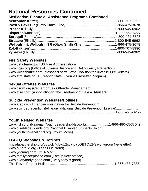# **National Resources Continued**

## **Medication Financial Assistance Programs Continued**

### **Fire Safety Websites**

[www.usfa.fema.gov](http://www.usfa.fema.gov/) (US Fire Administration) [www.ncjrs.org](http://www.ncjrs.org/) (Office of Juvenile Justice and Delinquency Prevention) [www.kkidsandfire.com](http://www.kkidsandfire.com/) (Massachusetts State Coalition for Juvenile Fire Setters) [www.sfm.state.or.us](http://www.sfm.state.or.us/) (Oregon State Juvenile Firesetter Program)

## **Sexual Offense Websites**

[www.csom.org](http://www.csom.org/) (Center for Sex Offender Management) [www.atsa.com](http://www.atsa.com/) (Association for the Treatment of Sexual Abusers)

## **Suicide Prevention Websites/Hotlines**

[www.afsp.org](http://www.afsp.org/) (American Foundation for Suicide Prevention) [www.suicidepreventionlifeline.org](http://www.suicidepreventionlifeline.org/) (National Suicide Prevention Lifeline)...................... .................................................................................................................1-800-273-8255

## **Youth Related Websites**

[www.nyln.org](http://www.nyln.org/) (National Youth Leadership Network).........................1-866-480-6565 X 2 [www.disabledstudents.org](http://www.disabledstudents.org/) (National Disabled Students Union) [www.youthmovenational.org](http://www.youthmovenational.org/) (Youth Move)

## **LGBTQ Websites & Hotlines**

<http://tapartnership.org/cop/clc/lgbtq12s.php> (LGBTQ12-S workgroup Newsletter) [www.outproud.org](http://www.outproud.org/) (Teen Out Proud) [www.ygamag.com](http://www.ygamag.com/) (YGA Mag) [www.familyacceptance.com](http://www.familyacceptance.com/) (Family Acceptance) [www.everybodysgood.com](http://www.everybodysgood.com/) (Everybody is good) The Trevor Project Hotline......................................................................1-866-488-7386